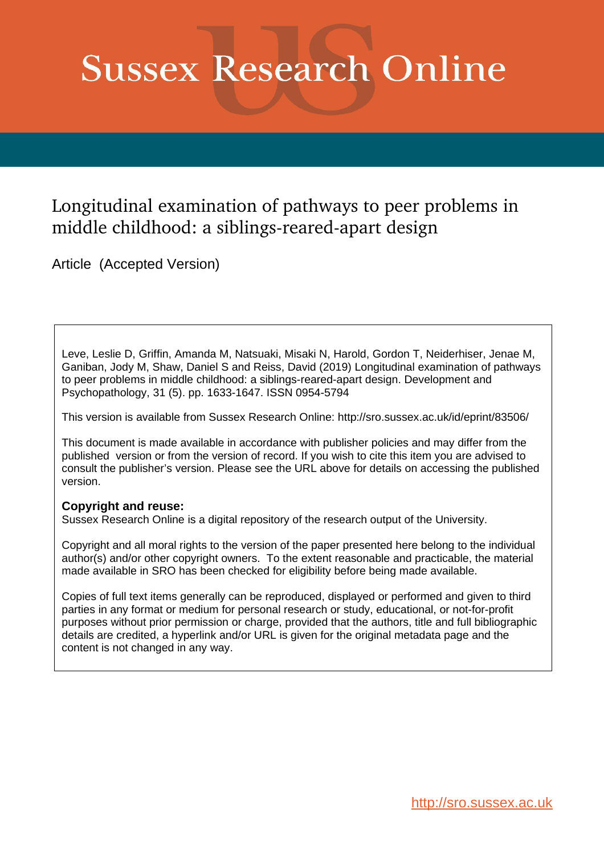# **Sussex Research Online**

# Longitudinal examination of pathways to peer problems in middle childhood: a siblings-reared-apart design

Article (Accepted Version)

Leve, Leslie D, Griffin, Amanda M, Natsuaki, Misaki N, Harold, Gordon T, Neiderhiser, Jenae M, Ganiban, Jody M, Shaw, Daniel S and Reiss, David (2019) Longitudinal examination of pathways to peer problems in middle childhood: a siblings-reared-apart design. Development and Psychopathology, 31 (5). pp. 1633-1647. ISSN 0954-5794

This version is available from Sussex Research Online: http://sro.sussex.ac.uk/id/eprint/83506/

This document is made available in accordance with publisher policies and may differ from the published version or from the version of record. If you wish to cite this item you are advised to consult the publisher's version. Please see the URL above for details on accessing the published version.

# **Copyright and reuse:**

Sussex Research Online is a digital repository of the research output of the University.

Copyright and all moral rights to the version of the paper presented here belong to the individual author(s) and/or other copyright owners. To the extent reasonable and practicable, the material made available in SRO has been checked for eligibility before being made available.

Copies of full text items generally can be reproduced, displayed or performed and given to third parties in any format or medium for personal research or study, educational, or not-for-profit purposes without prior permission or charge, provided that the authors, title and full bibliographic details are credited, a hyperlink and/or URL is given for the original metadata page and the content is not changed in any way.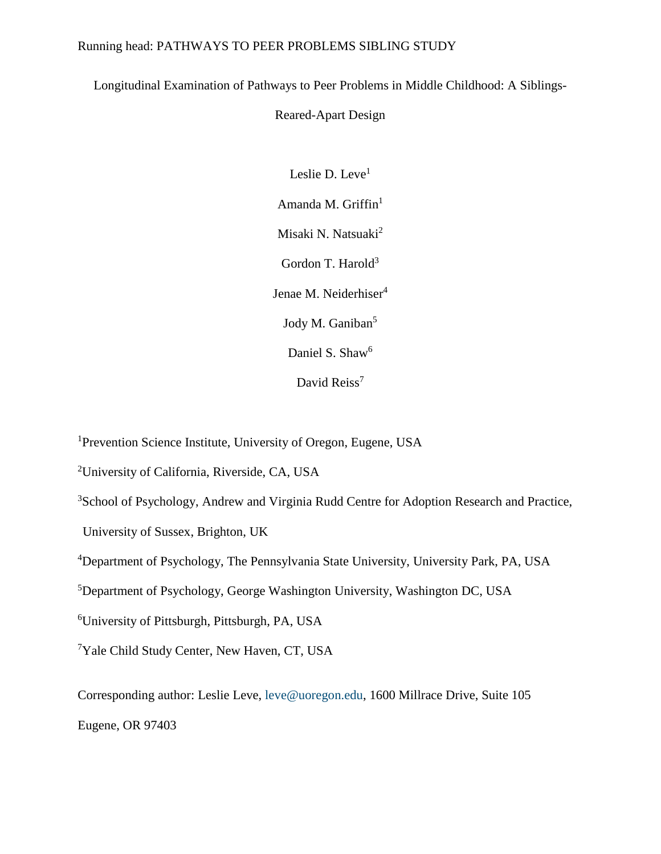# Running head: PATHWAYS TO PEER PROBLEMS SIBLING STUDY

Longitudinal Examination of Pathways to Peer Problems in Middle Childhood: A Siblings-

# Reared-Apart Design

Leslie D. Leve<sup>1</sup> Amanda M. Griffin<sup>1</sup> Misaki N. Natsuaki<sup>2</sup> Gordon T. Harold<sup>3</sup> Jenae M. Neiderhiser<sup>4</sup> Jody M. Ganiban<sup>5</sup> Daniel S. Shaw<sup>6</sup> David Reiss<sup>7</sup>

<sup>1</sup>Prevention Science Institute, University of Oregon, Eugene, USA

<sup>2</sup>University of California, Riverside, CA, USA

<sup>3</sup>School of Psychology, Andrew and Virginia Rudd Centre for Adoption Research and Practice,

University of Sussex, Brighton, UK

<sup>4</sup>Department of Psychology, The Pennsylvania State University, University Park, PA, USA

<sup>5</sup>Department of Psychology, George Washington University, Washington DC, USA

<sup>6</sup>University of Pittsburgh, Pittsburgh, PA, USA

<sup>7</sup>Yale Child Study Center, New Haven, CT, USA

Corresponding author: Leslie Leve, [leve@uoregon.edu,](mailto:leve@uoregon.edu) 1600 Millrace Drive, Suite 105

Eugene, OR 97403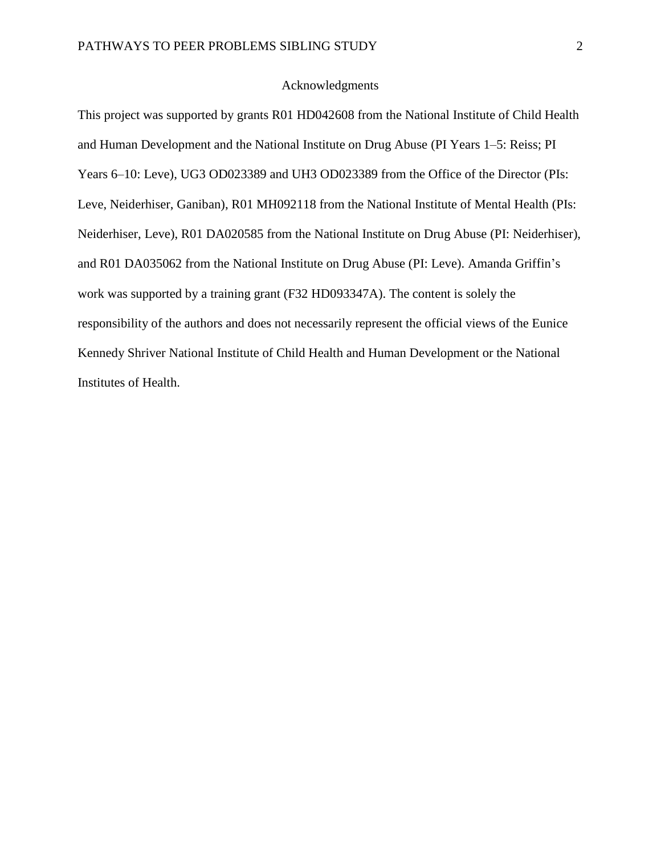# Acknowledgments

This project was supported by grants R01 HD042608 from the National Institute of Child Health and Human Development and the National Institute on Drug Abuse (PI Years 1–5: Reiss; PI Years 6–10: Leve), UG3 OD023389 and UH3 OD023389 from the Office of the Director (PIs: Leve, Neiderhiser, Ganiban), R01 MH092118 from the National Institute of Mental Health (PIs: Neiderhiser, Leve), R01 DA020585 from the National Institute on Drug Abuse (PI: Neiderhiser), and R01 DA035062 from the National Institute on Drug Abuse (PI: Leve). Amanda Griffin's work was supported by a training grant (F32 HD093347A). The content is solely the responsibility of the authors and does not necessarily represent the official views of the Eunice Kennedy Shriver National Institute of Child Health and Human Development or the National Institutes of Health.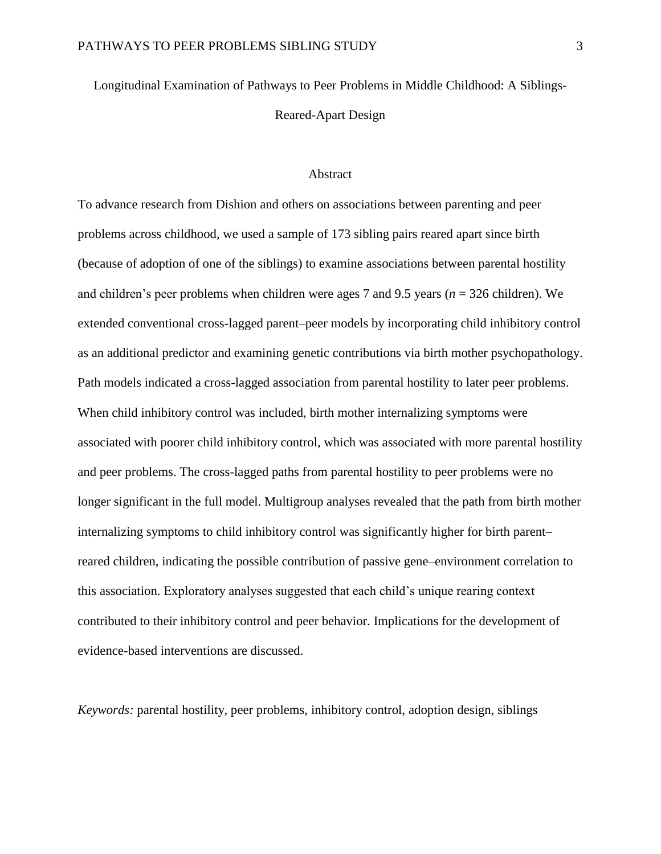Longitudinal Examination of Pathways to Peer Problems in Middle Childhood: A Siblings-Reared-Apart Design

#### **Abstract**

To advance research from Dishion and others on associations between parenting and peer problems across childhood, we used a sample of 173 sibling pairs reared apart since birth (because of adoption of one of the siblings) to examine associations between parental hostility and children's peer problems when children were ages 7 and 9.5 years (*n* = 326 children). We extended conventional cross-lagged parent–peer models by incorporating child inhibitory control as an additional predictor and examining genetic contributions via birth mother psychopathology. Path models indicated a cross-lagged association from parental hostility to later peer problems. When child inhibitory control was included, birth mother internalizing symptoms were associated with poorer child inhibitory control, which was associated with more parental hostility and peer problems. The cross-lagged paths from parental hostility to peer problems were no longer significant in the full model. Multigroup analyses revealed that the path from birth mother internalizing symptoms to child inhibitory control was significantly higher for birth parent– reared children, indicating the possible contribution of passive gene–environment correlation to this association. Exploratory analyses suggested that each child's unique rearing context contributed to their inhibitory control and peer behavior. Implications for the development of evidence-based interventions are discussed.

*Keywords:* parental hostility, peer problems, inhibitory control, adoption design, siblings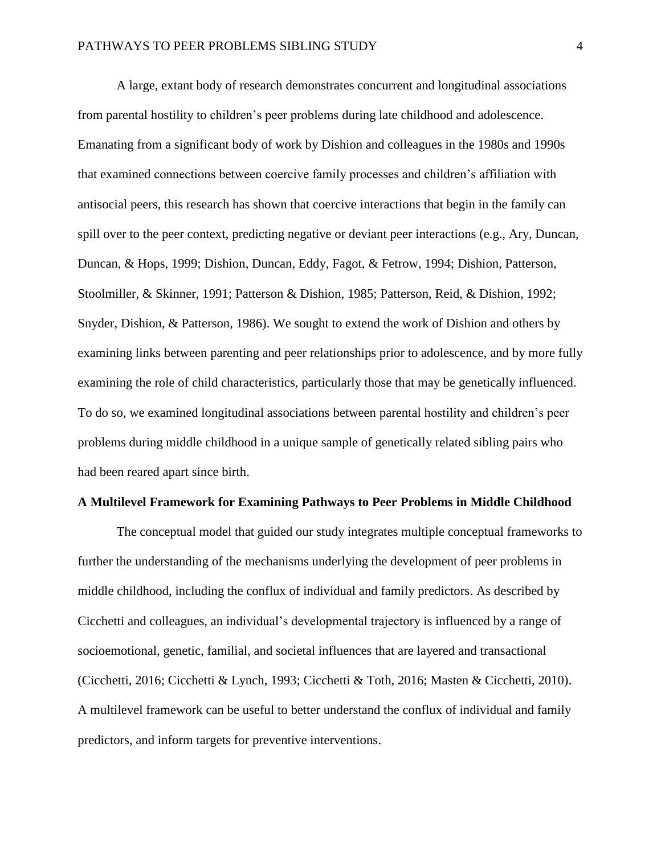A large, extant body of research demonstrates concurrent and longitudinal associations from parental hostility to children's peer problems during late childhood and adolescence. Emanating from a significant body of work by Dishion and colleagues in the 1980s and 1990s that examined connections between coercive family processes and children's affiliation with antisocial peers, this research has shown that coercive interactions that begin in the family can spill over to the peer context, predicting negative or deviant peer interactions (e.g., Ary, Duncan, Duncan, & Hops, 1999; Dishion, Duncan, Eddy, Fagot, & Fetrow, 1994; Dishion, Patterson, Stoolmiller, & Skinner, 1991; Patterson & Dishion, 1985; Patterson, Reid, & Dishion, 1992; Snyder, Dishion, & Patterson, 1986). We sought to extend the work of Dishion and others by examining links between parenting and peer relationships prior to adolescence, and by more fully examining the role of child characteristics, particularly those that may be genetically influenced. To do so, we examined longitudinal associations between parental hostility and children's peer problems during middle childhood in a unique sample of genetically related sibling pairs who had been reared apart since birth.

#### **A Multilevel Framework for Examining Pathways to Peer Problems in Middle Childhood**

The conceptual model that guided our study integrates multiple conceptual frameworks to further the understanding of the mechanisms underlying the development of peer problems in middle childhood, including the conflux of individual and family predictors. As described by Cicchetti and colleagues, an individual's developmental trajectory is influenced by a range of socioemotional, genetic, familial, and societal influences that are layered and transactional (Cicchetti, 2016; Cicchetti & Lynch, 1993; Cicchetti & Toth, 2016; Masten & Cicchetti, 2010). A multilevel framework can be useful to better understand the conflux of individual and family predictors, and inform targets for preventive interventions.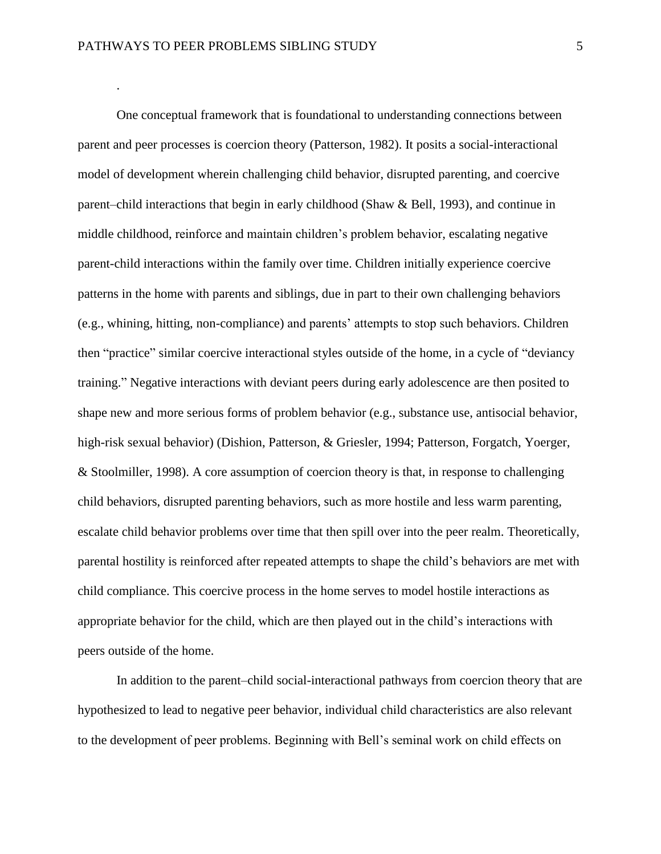.

One conceptual framework that is foundational to understanding connections between parent and peer processes is coercion theory (Patterson, 1982). It posits a social-interactional model of development wherein challenging child behavior, disrupted parenting, and coercive parent–child interactions that begin in early childhood (Shaw & Bell, 1993), and continue in middle childhood, reinforce and maintain children's problem behavior, escalating negative parent-child interactions within the family over time. Children initially experience coercive patterns in the home with parents and siblings, due in part to their own challenging behaviors (e.g., whining, hitting, non-compliance) and parents' attempts to stop such behaviors. Children then "practice" similar coercive interactional styles outside of the home, in a cycle of "deviancy training." Negative interactions with deviant peers during early adolescence are then posited to shape new and more serious forms of problem behavior (e.g., substance use, antisocial behavior, high-risk sexual behavior) (Dishion, Patterson, & Griesler, 1994; Patterson, Forgatch, Yoerger, & Stoolmiller, 1998). A core assumption of coercion theory is that, in response to challenging child behaviors, disrupted parenting behaviors, such as more hostile and less warm parenting, escalate child behavior problems over time that then spill over into the peer realm. Theoretically, parental hostility is reinforced after repeated attempts to shape the child's behaviors are met with child compliance. This coercive process in the home serves to model hostile interactions as appropriate behavior for the child, which are then played out in the child's interactions with peers outside of the home.

In addition to the parent–child social-interactional pathways from coercion theory that are hypothesized to lead to negative peer behavior, individual child characteristics are also relevant to the development of peer problems. Beginning with Bell's seminal work on child effects on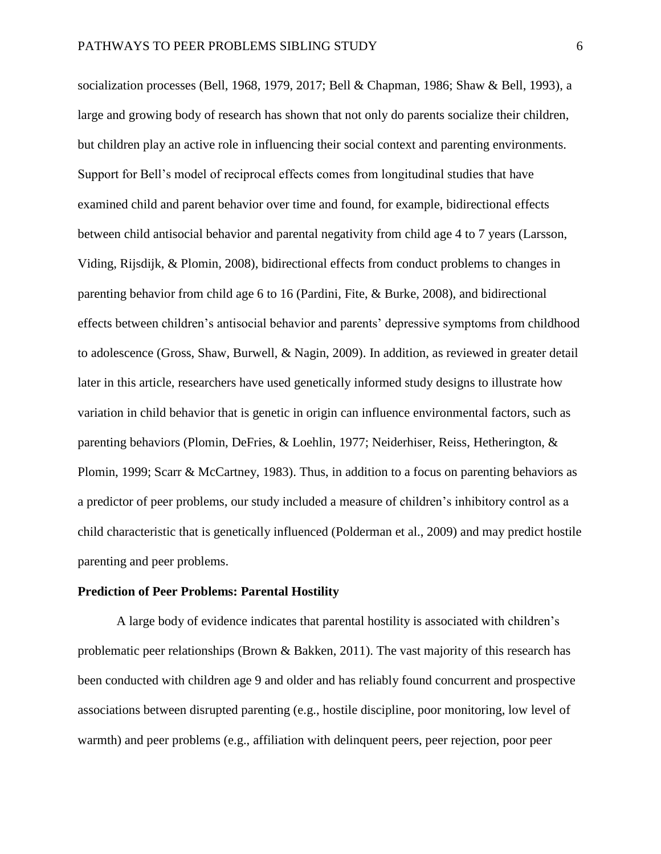socialization processes (Bell, 1968, 1979, 2017; Bell & Chapman, 1986; Shaw & Bell, 1993), a large and growing body of research has shown that not only do parents socialize their children, but children play an active role in influencing their social context and parenting environments. Support for Bell's model of reciprocal effects comes from longitudinal studies that have examined child and parent behavior over time and found, for example, bidirectional effects between child antisocial behavior and parental negativity from child age 4 to 7 years (Larsson, Viding, Rijsdijk, & Plomin, 2008), bidirectional effects from conduct problems to changes in parenting behavior from child age 6 to 16 (Pardini, Fite, & Burke, 2008), and bidirectional effects between children's antisocial behavior and parents' depressive symptoms from childhood to adolescence (Gross, Shaw, Burwell, & Nagin, 2009). In addition, as reviewed in greater detail later in this article, researchers have used genetically informed study designs to illustrate how variation in child behavior that is genetic in origin can influence environmental factors, such as parenting behaviors (Plomin, DeFries, & Loehlin, 1977; Neiderhiser, Reiss, Hetherington, & Plomin, 1999; Scarr & McCartney, 1983). Thus, in addition to a focus on parenting behaviors as a predictor of peer problems, our study included a measure of children's inhibitory control as a child characteristic that is genetically influenced (Polderman et al., 2009) and may predict hostile parenting and peer problems.

#### **Prediction of Peer Problems: Parental Hostility**

A large body of evidence indicates that parental hostility is associated with children's problematic peer relationships (Brown & Bakken, 2011). The vast majority of this research has been conducted with children age 9 and older and has reliably found concurrent and prospective associations between disrupted parenting (e.g., hostile discipline, poor monitoring, low level of warmth) and peer problems (e.g., affiliation with delinquent peers, peer rejection, poor peer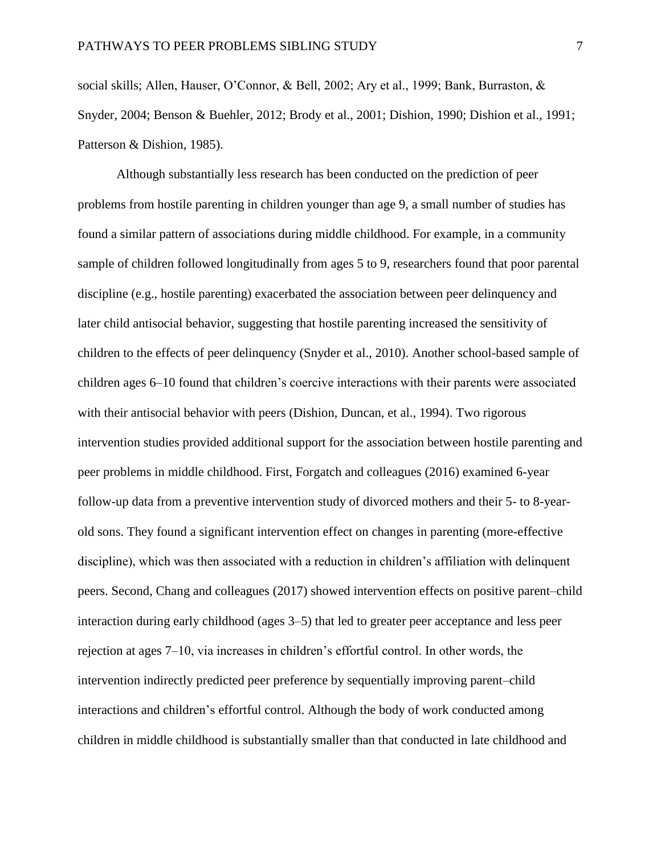social skills; Allen, Hauser, O'Connor, & Bell, 2002; Ary et al., 1999; Bank, Burraston, & Snyder, 2004; Benson & Buehler, 2012; Brody et al., 2001; Dishion, 1990; Dishion et al., 1991; Patterson & Dishion, 1985).

Although substantially less research has been conducted on the prediction of peer problems from hostile parenting in children younger than age 9, a small number of studies has found a similar pattern of associations during middle childhood. For example, in a community sample of children followed longitudinally from ages 5 to 9, researchers found that poor parental discipline (e.g., hostile parenting) exacerbated the association between peer delinquency and later child antisocial behavior, suggesting that hostile parenting increased the sensitivity of children to the effects of peer delinquency (Snyder et al., 2010). Another school-based sample of children ages 6–10 found that children's coercive interactions with their parents were associated with their antisocial behavior with peers (Dishion, Duncan, et al., 1994). Two rigorous intervention studies provided additional support for the association between hostile parenting and peer problems in middle childhood. First, Forgatch and colleagues (2016) examined 6-year follow-up data from a preventive intervention study of divorced mothers and their 5- to 8-yearold sons. They found a significant intervention effect on changes in parenting (more-effective discipline), which was then associated with a reduction in children's affiliation with delinquent peers. Second, Chang and colleagues (2017) showed intervention effects on positive parent–child interaction during early childhood (ages 3–5) that led to greater peer acceptance and less peer rejection at ages 7–10, via increases in children's effortful control. In other words, the intervention indirectly predicted peer preference by sequentially improving parent–child interactions and children's effortful control. Although the body of work conducted among children in middle childhood is substantially smaller than that conducted in late childhood and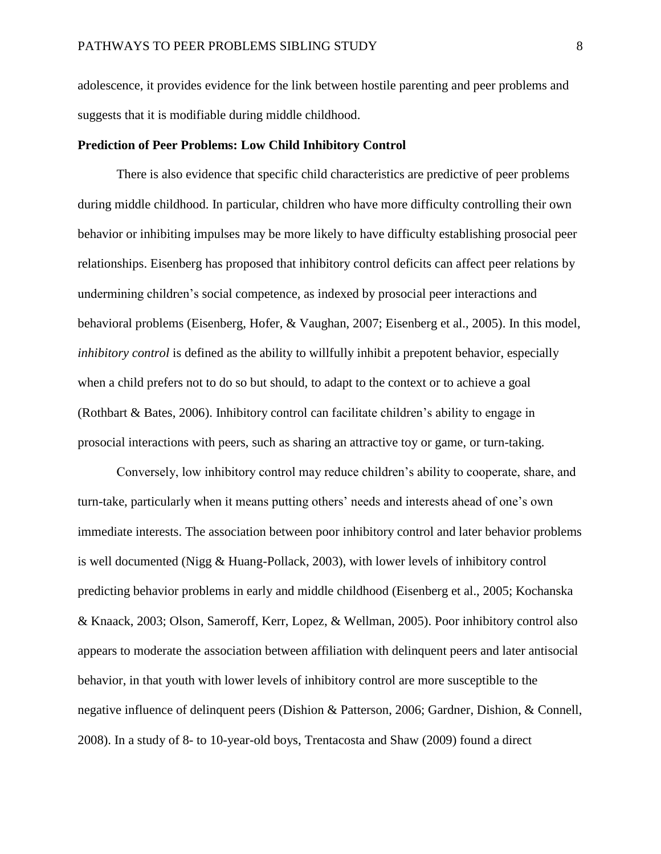adolescence, it provides evidence for the link between hostile parenting and peer problems and suggests that it is modifiable during middle childhood.

#### **Prediction of Peer Problems: Low Child Inhibitory Control**

There is also evidence that specific child characteristics are predictive of peer problems during middle childhood. In particular, children who have more difficulty controlling their own behavior or inhibiting impulses may be more likely to have difficulty establishing prosocial peer relationships. Eisenberg has proposed that inhibitory control deficits can affect peer relations by undermining children's social competence, as indexed by prosocial peer interactions and behavioral problems (Eisenberg, Hofer, & Vaughan, 2007; Eisenberg et al., 2005). In this model, *inhibitory control* is defined as the ability to willfully inhibit a prepotent behavior, especially when a child prefers not to do so but should, to adapt to the context or to achieve a goal (Rothbart & Bates, 2006). Inhibitory control can facilitate children's ability to engage in prosocial interactions with peers, such as sharing an attractive toy or game, or turn-taking.

Conversely, low inhibitory control may reduce children's ability to cooperate, share, and turn-take, particularly when it means putting others' needs and interests ahead of one's own immediate interests. The association between poor inhibitory control and later behavior problems is well documented (Nigg & Huang-Pollack, 2003), with lower levels of inhibitory control predicting behavior problems in early and middle childhood (Eisenberg et al., 2005; Kochanska & Knaack, 2003; Olson, Sameroff, Kerr, Lopez, & Wellman, 2005). Poor inhibitory control also appears to moderate the association between affiliation with delinquent peers and later antisocial behavior, in that youth with lower levels of inhibitory control are more susceptible to the negative influence of delinquent peers (Dishion & Patterson, 2006; Gardner, Dishion, & Connell, 2008). In a study of 8- to 10-year-old boys, Trentacosta and Shaw (2009) found a direct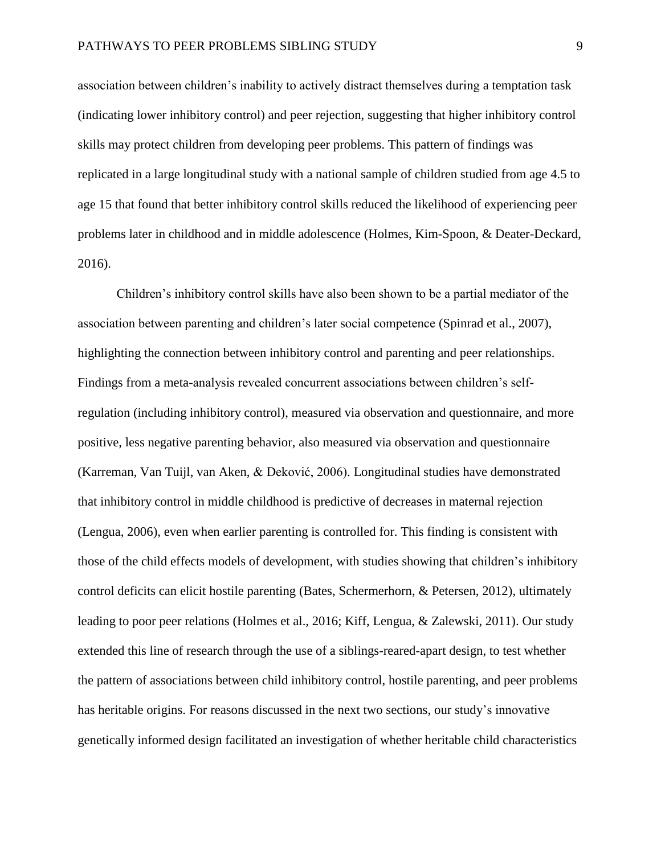association between children's inability to actively distract themselves during a temptation task (indicating lower inhibitory control) and peer rejection, suggesting that higher inhibitory control skills may protect children from developing peer problems. This pattern of findings was replicated in a large longitudinal study with a national sample of children studied from age 4.5 to age 15 that found that better inhibitory control skills reduced the likelihood of experiencing peer problems later in childhood and in middle adolescence (Holmes, Kim-Spoon, & Deater-Deckard, 2016).

Children's inhibitory control skills have also been shown to be a partial mediator of the association between parenting and children's later social competence (Spinrad et al., 2007), highlighting the connection between inhibitory control and parenting and peer relationships. Findings from a meta-analysis revealed concurrent associations between children's selfregulation (including inhibitory control), measured via observation and questionnaire, and more positive, less negative parenting behavior, also measured via observation and questionnaire (Karreman, Van Tuijl, van Aken, & Deković, 2006). Longitudinal studies have demonstrated that inhibitory control in middle childhood is predictive of decreases in maternal rejection (Lengua, 2006), even when earlier parenting is controlled for. This finding is consistent with those of the child effects models of development, with studies showing that children's inhibitory control deficits can elicit hostile parenting (Bates, Schermerhorn, & Petersen, 2012), ultimately leading to poor peer relations (Holmes et al., 2016; Kiff, Lengua, & Zalewski, 2011). Our study extended this line of research through the use of a siblings-reared-apart design, to test whether the pattern of associations between child inhibitory control, hostile parenting, and peer problems has heritable origins. For reasons discussed in the next two sections, our study's innovative genetically informed design facilitated an investigation of whether heritable child characteristics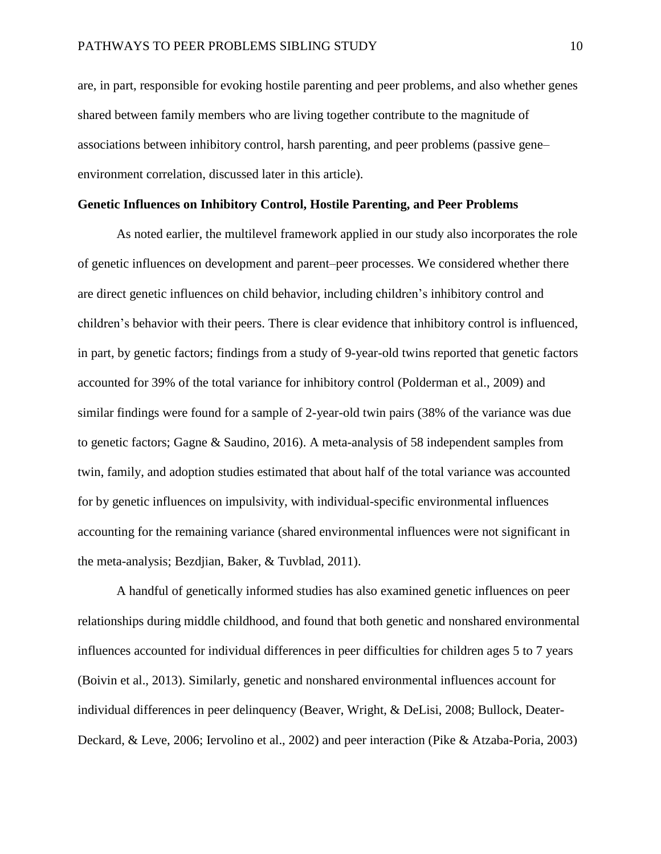are, in part, responsible for evoking hostile parenting and peer problems, and also whether genes shared between family members who are living together contribute to the magnitude of associations between inhibitory control, harsh parenting, and peer problems (passive gene– environment correlation, discussed later in this article).

#### **Genetic Influences on Inhibitory Control, Hostile Parenting, and Peer Problems**

As noted earlier, the multilevel framework applied in our study also incorporates the role of genetic influences on development and parent–peer processes. We considered whether there are direct genetic influences on child behavior, including children's inhibitory control and children's behavior with their peers. There is clear evidence that inhibitory control is influenced, in part, by genetic factors; findings from a study of 9-year-old twins reported that genetic factors accounted for 39% of the total variance for inhibitory control (Polderman et al., 2009) and similar findings were found for a sample of 2-year-old twin pairs (38% of the variance was due to genetic factors; Gagne & Saudino, 2016). A meta-analysis of 58 independent samples from twin, family, and adoption studies estimated that about half of the total variance was accounted for by genetic influences on impulsivity, with individual-specific environmental influences accounting for the remaining variance (shared environmental influences were not significant in the meta-analysis; Bezdjian, Baker, & Tuvblad, 2011).

A handful of genetically informed studies has also examined genetic influences on peer relationships during middle childhood, and found that both genetic and nonshared environmental influences accounted for individual differences in peer difficulties for children ages 5 to 7 years (Boivin et al., 2013). Similarly, genetic and nonshared environmental influences account for individual differences in peer delinquency (Beaver, Wright, & DeLisi, 2008; Bullock, Deater-Deckard, & Leve, 2006; Iervolino et al., 2002) and peer interaction (Pike & Atzaba-Poria, 2003)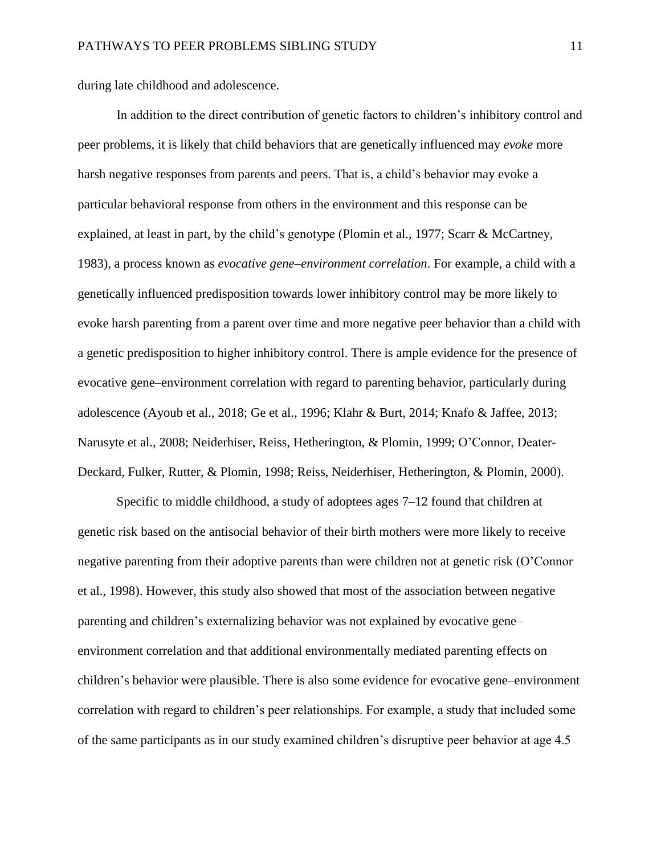during late childhood and adolescence.

In addition to the direct contribution of genetic factors to children's inhibitory control and peer problems, it is likely that child behaviors that are genetically influenced may *evoke* more harsh negative responses from parents and peers. That is, a child's behavior may evoke a particular behavioral response from others in the environment and this response can be explained, at least in part, by the child's genotype (Plomin et al., 1977; Scarr & McCartney, 1983), a process known as *evocative gene–environment correlation*. For example, a child with a genetically influenced predisposition towards lower inhibitory control may be more likely to evoke harsh parenting from a parent over time and more negative peer behavior than a child with a genetic predisposition to higher inhibitory control. There is ample evidence for the presence of evocative gene–environment correlation with regard to parenting behavior, particularly during adolescence (Ayoub et al., 2018; Ge et al., 1996; Klahr & Burt, 2014; Knafo & Jaffee, 2013; Narusyte et al., 2008; Neiderhiser, Reiss, Hetherington, & Plomin, 1999; O'Connor, Deater-Deckard, Fulker, Rutter, & Plomin, 1998; Reiss, Neiderhiser, Hetherington, & Plomin, 2000).

Specific to middle childhood, a study of adoptees ages 7–12 found that children at genetic risk based on the antisocial behavior of their birth mothers were more likely to receive negative parenting from their adoptive parents than were children not at genetic risk (O'Connor et al., 1998). However, this study also showed that most of the association between negative parenting and children's externalizing behavior was not explained by evocative gene– environment correlation and that additional environmentally mediated parenting effects on children's behavior were plausible. There is also some evidence for evocative gene–environment correlation with regard to children's peer relationships. For example, a study that included some of the same participants as in our study examined children's disruptive peer behavior at age 4.5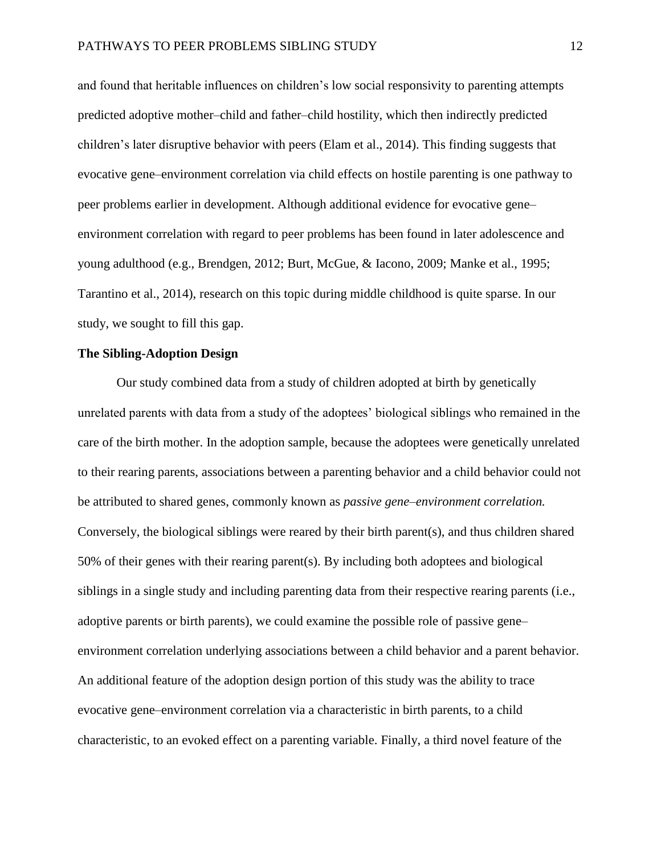and found that heritable influences on children's low social responsivity to parenting attempts predicted adoptive mother–child and father–child hostility, which then indirectly predicted children's later disruptive behavior with peers (Elam et al., 2014). This finding suggests that evocative gene–environment correlation via child effects on hostile parenting is one pathway to peer problems earlier in development. Although additional evidence for evocative gene– environment correlation with regard to peer problems has been found in later adolescence and young adulthood (e.g., Brendgen, 2012; Burt, McGue, & Iacono, 2009; Manke et al., 1995; Tarantino et al., 2014), research on this topic during middle childhood is quite sparse. In our study, we sought to fill this gap.

#### **The Sibling-Adoption Design**

Our study combined data from a study of children adopted at birth by genetically unrelated parents with data from a study of the adoptees' biological siblings who remained in the care of the birth mother. In the adoption sample, because the adoptees were genetically unrelated to their rearing parents, associations between a parenting behavior and a child behavior could not be attributed to shared genes, commonly known as *passive gene–environment correlation.* Conversely, the biological siblings were reared by their birth parent(s), and thus children shared 50% of their genes with their rearing parent(s). By including both adoptees and biological siblings in a single study and including parenting data from their respective rearing parents (i.e., adoptive parents or birth parents), we could examine the possible role of passive gene– environment correlation underlying associations between a child behavior and a parent behavior. An additional feature of the adoption design portion of this study was the ability to trace evocative gene–environment correlation via a characteristic in birth parents, to a child characteristic, to an evoked effect on a parenting variable. Finally, a third novel feature of the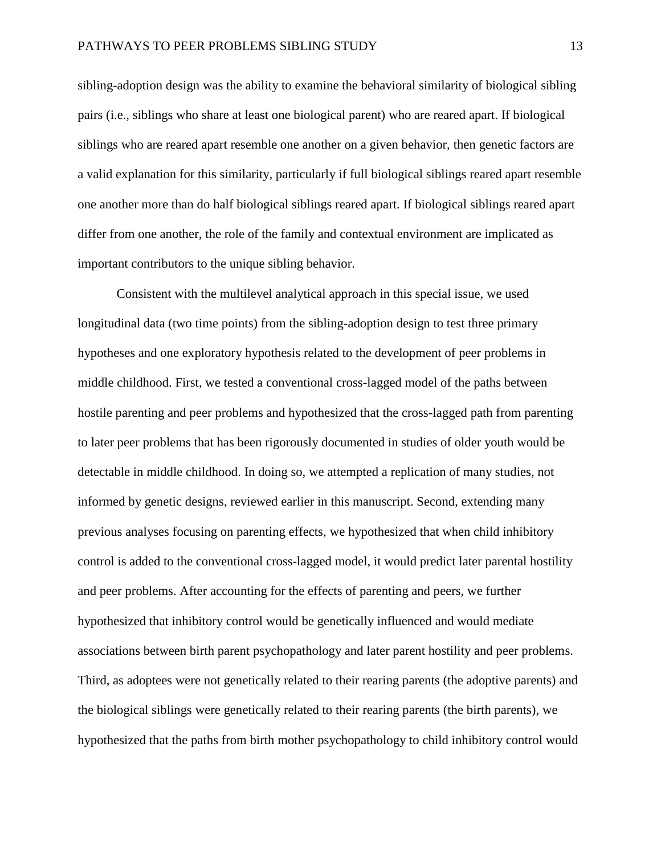sibling-adoption design was the ability to examine the behavioral similarity of biological sibling pairs (i.e., siblings who share at least one biological parent) who are reared apart. If biological siblings who are reared apart resemble one another on a given behavior, then genetic factors are a valid explanation for this similarity, particularly if full biological siblings reared apart resemble one another more than do half biological siblings reared apart. If biological siblings reared apart differ from one another, the role of the family and contextual environment are implicated as important contributors to the unique sibling behavior.

Consistent with the multilevel analytical approach in this special issue, we used longitudinal data (two time points) from the sibling-adoption design to test three primary hypotheses and one exploratory hypothesis related to the development of peer problems in middle childhood. First, we tested a conventional cross-lagged model of the paths between hostile parenting and peer problems and hypothesized that the cross-lagged path from parenting to later peer problems that has been rigorously documented in studies of older youth would be detectable in middle childhood. In doing so, we attempted a replication of many studies, not informed by genetic designs, reviewed earlier in this manuscript. Second, extending many previous analyses focusing on parenting effects, we hypothesized that when child inhibitory control is added to the conventional cross-lagged model, it would predict later parental hostility and peer problems. After accounting for the effects of parenting and peers, we further hypothesized that inhibitory control would be genetically influenced and would mediate associations between birth parent psychopathology and later parent hostility and peer problems. Third, as adoptees were not genetically related to their rearing parents (the adoptive parents) and the biological siblings were genetically related to their rearing parents (the birth parents), we hypothesized that the paths from birth mother psychopathology to child inhibitory control would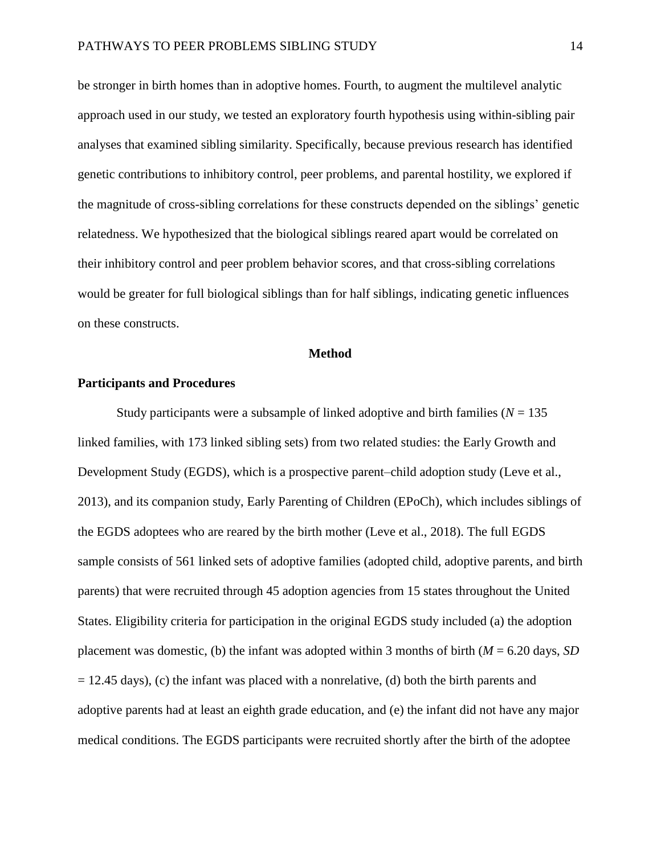be stronger in birth homes than in adoptive homes. Fourth, to augment the multilevel analytic approach used in our study, we tested an exploratory fourth hypothesis using within-sibling pair analyses that examined sibling similarity. Specifically, because previous research has identified genetic contributions to inhibitory control, peer problems, and parental hostility, we explored if the magnitude of cross-sibling correlations for these constructs depended on the siblings' genetic relatedness. We hypothesized that the biological siblings reared apart would be correlated on their inhibitory control and peer problem behavior scores, and that cross-sibling correlations would be greater for full biological siblings than for half siblings, indicating genetic influences on these constructs.

#### **Method**

#### **Participants and Procedures**

Study participants were a subsample of linked adoptive and birth families ( $N = 135$ ) linked families, with 173 linked sibling sets) from two related studies: the Early Growth and Development Study (EGDS), which is a prospective parent–child adoption study (Leve et al., 2013), and its companion study, Early Parenting of Children (EPoCh), which includes siblings of the EGDS adoptees who are reared by the birth mother (Leve et al., 2018). The full EGDS sample consists of 561 linked sets of adoptive families (adopted child, adoptive parents, and birth parents) that were recruited through 45 adoption agencies from 15 states throughout the United States. Eligibility criteria for participation in the original EGDS study included (a) the adoption placement was domestic, (b) the infant was adopted within 3 months of birth (*M* = 6.20 days, *SD*  $= 12.45$  days), (c) the infant was placed with a nonrelative, (d) both the birth parents and adoptive parents had at least an eighth grade education, and (e) the infant did not have any major medical conditions. The EGDS participants were recruited shortly after the birth of the adoptee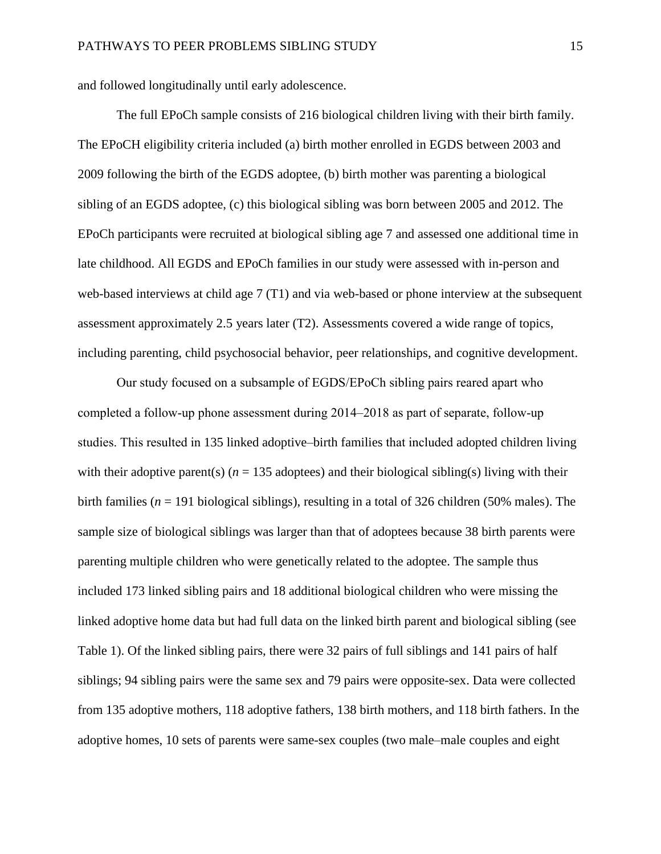and followed longitudinally until early adolescence.

The full EPoCh sample consists of 216 biological children living with their birth family. The EPoCH eligibility criteria included (a) birth mother enrolled in EGDS between 2003 and 2009 following the birth of the EGDS adoptee, (b) birth mother was parenting a biological sibling of an EGDS adoptee, (c) this biological sibling was born between 2005 and 2012. The EPoCh participants were recruited at biological sibling age 7 and assessed one additional time in late childhood. All EGDS and EPoCh families in our study were assessed with in-person and web-based interviews at child age 7 (T1) and via web-based or phone interview at the subsequent assessment approximately 2.5 years later (T2). Assessments covered a wide range of topics, including parenting, child psychosocial behavior, peer relationships, and cognitive development.

Our study focused on a subsample of EGDS/EPoCh sibling pairs reared apart who completed a follow-up phone assessment during 2014–2018 as part of separate, follow-up studies. This resulted in 135 linked adoptive–birth families that included adopted children living with their adoptive parent(s)  $(n = 135$  adoptees) and their biological sibling(s) living with their birth families (*n* = 191 biological siblings), resulting in a total of 326 children (50% males). The sample size of biological siblings was larger than that of adoptees because 38 birth parents were parenting multiple children who were genetically related to the adoptee. The sample thus included 173 linked sibling pairs and 18 additional biological children who were missing the linked adoptive home data but had full data on the linked birth parent and biological sibling (see Table 1). Of the linked sibling pairs, there were 32 pairs of full siblings and 141 pairs of half siblings; 94 sibling pairs were the same sex and 79 pairs were opposite-sex. Data were collected from 135 adoptive mothers, 118 adoptive fathers, 138 birth mothers, and 118 birth fathers. In the adoptive homes, 10 sets of parents were same-sex couples (two male–male couples and eight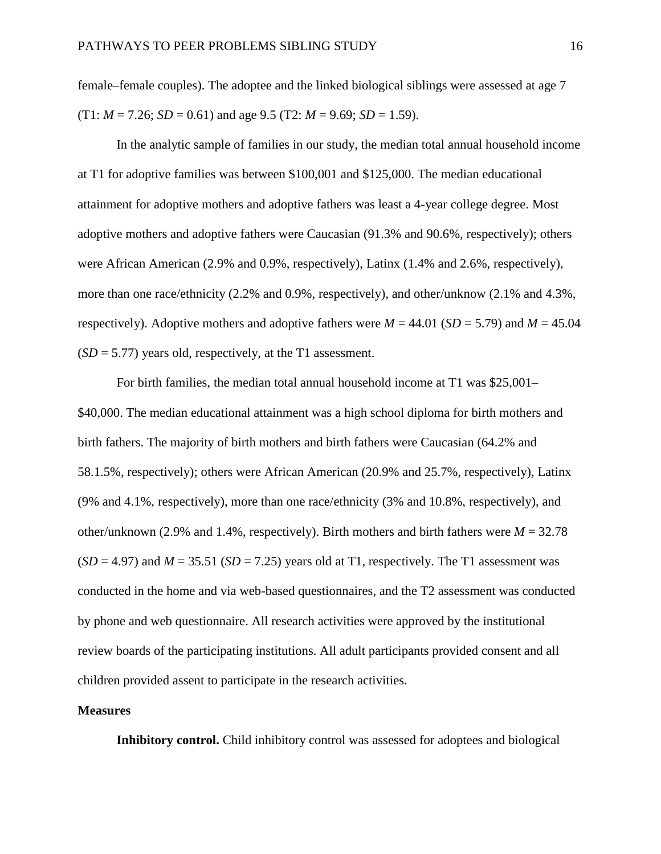female–female couples). The adoptee and the linked biological siblings were assessed at age 7  $(T1: M = 7.26; SD = 0.61)$  and age 9.5  $(T2: M = 9.69; SD = 1.59)$ .

In the analytic sample of families in our study, the median total annual household income at T1 for adoptive families was between \$100,001 and \$125,000. The median educational attainment for adoptive mothers and adoptive fathers was least a 4-year college degree. Most adoptive mothers and adoptive fathers were Caucasian (91.3% and 90.6%, respectively); others were African American (2.9% and 0.9%, respectively), Latinx (1.4% and 2.6%, respectively), more than one race/ethnicity (2.2% and 0.9%, respectively), and other/unknow (2.1% and 4.3%, respectively). Adoptive mothers and adoptive fathers were  $M = 44.01$  ( $SD = 5.79$ ) and  $M = 45.04$  $(SD = 5.77)$  years old, respectively, at the T1 assessment.

For birth families, the median total annual household income at T1 was \$25,001– \$40,000. The median educational attainment was a high school diploma for birth mothers and birth fathers. The majority of birth mothers and birth fathers were Caucasian (64.2% and 58.1.5%, respectively); others were African American (20.9% and 25.7%, respectively), Latinx (9% and 4.1%, respectively), more than one race/ethnicity (3% and 10.8%, respectively), and other/unknown (2.9% and 1.4%, respectively). Birth mothers and birth fathers were  $M = 32.78$  $(SD = 4.97)$  and  $M = 35.51$   $(SD = 7.25)$  years old at T1, respectively. The T1 assessment was conducted in the home and via web-based questionnaires, and the T2 assessment was conducted by phone and web questionnaire. All research activities were approved by the institutional review boards of the participating institutions. All adult participants provided consent and all children provided assent to participate in the research activities.

#### **Measures**

**Inhibitory control.** Child inhibitory control was assessed for adoptees and biological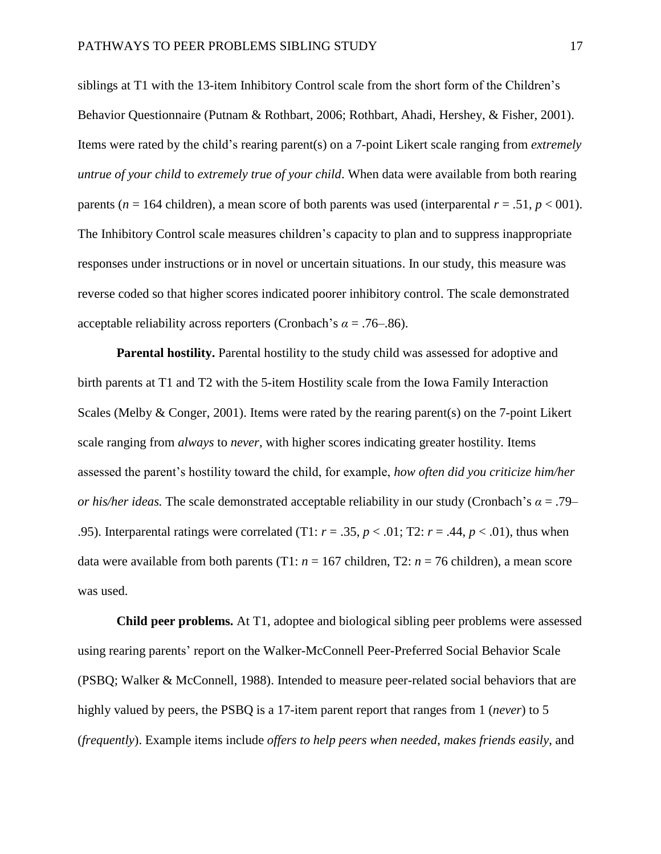siblings at T1 with the 13-item Inhibitory Control scale from the short form of the Children's Behavior Questionnaire (Putnam & Rothbart, 2006; Rothbart, Ahadi, Hershey, & Fisher, 2001). Items were rated by the child's rearing parent(s) on a 7-point Likert scale ranging from *extremely untrue of your child* to *extremely true of your child*. When data were available from both rearing parents ( $n = 164$  children), a mean score of both parents was used (interparental  $r = .51$ ,  $p < 001$ ). The Inhibitory Control scale measures children's capacity to plan and to suppress inappropriate responses under instructions or in novel or uncertain situations. In our study, this measure was reverse coded so that higher scores indicated poorer inhibitory control. The scale demonstrated acceptable reliability across reporters (Cronbach's  $\alpha = .76-.86$ ).

**Parental hostility.** Parental hostility to the study child was assessed for adoptive and birth parents at T1 and T2 with the 5-item Hostility scale from the Iowa Family Interaction Scales (Melby & Conger, 2001). Items were rated by the rearing parent(s) on the 7-point Likert scale ranging from *always* to *never,* with higher scores indicating greater hostility. Items assessed the parent's hostility toward the child, for example, *how often did you criticize him/her or his/her ideas.* The scale demonstrated acceptable reliability in our study (Cronbach's *α* = .79– .95). Interparental ratings were correlated (T1:  $r = .35$ ,  $p < .01$ ; T2:  $r = .44$ ,  $p < .01$ ), thus when data were available from both parents (T1:  $n = 167$  children, T2:  $n = 76$  children), a mean score was used.

**Child peer problems.** At T1, adoptee and biological sibling peer problems were assessed using rearing parents' report on the Walker-McConnell Peer-Preferred Social Behavior Scale (PSBQ; Walker & McConnell, 1988). Intended to measure peer-related social behaviors that are highly valued by peers, the PSBQ is a 17-item parent report that ranges from 1 (*never*) to 5 (*frequently*). Example items include *offers to help peers when needed*, *makes friends easily*, and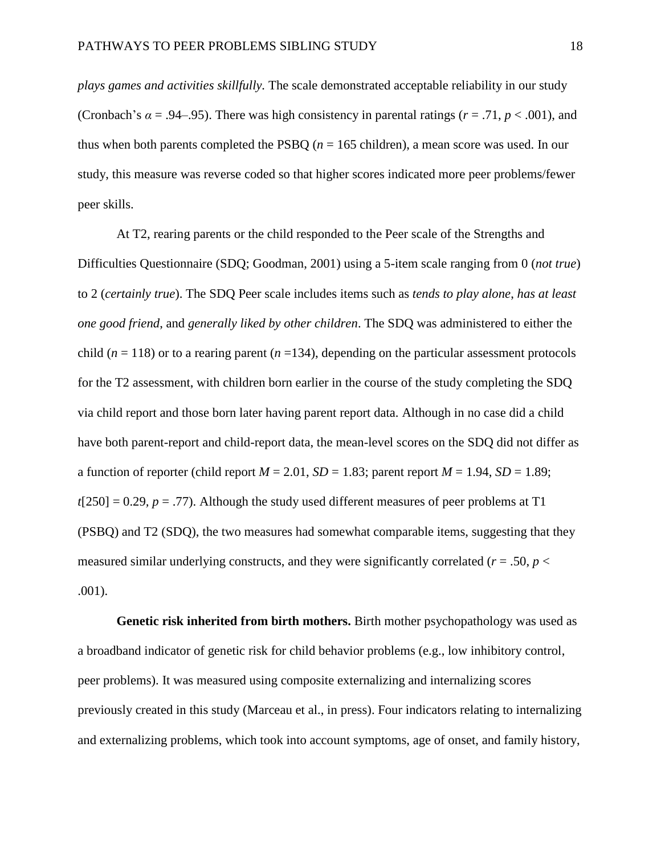*plays games and activities skillfully.* The scale demonstrated acceptable reliability in our study (Cronbach's  $\alpha = .94-0.95$ ). There was high consistency in parental ratings ( $r = .71$ ,  $p < .001$ ), and thus when both parents completed the PSBQ  $(n = 165 \text{ children})$ , a mean score was used. In our study, this measure was reverse coded so that higher scores indicated more peer problems/fewer peer skills.

At T2, rearing parents or the child responded to the Peer scale of the Strengths and Difficulties Questionnaire (SDQ; Goodman, 2001) using a 5-item scale ranging from 0 (*not true*) to 2 (*certainly true*). The SDQ Peer scale includes items such as *tends to play alone*, *has at least one good friend*, and *generally liked by other children*. The SDQ was administered to either the child ( $n = 118$ ) or to a rearing parent ( $n = 134$ ), depending on the particular assessment protocols for the T2 assessment, with children born earlier in the course of the study completing the SDQ via child report and those born later having parent report data. Although in no case did a child have both parent-report and child-report data, the mean-level scores on the SDQ did not differ as a function of reporter (child report  $M = 2.01$ ,  $SD = 1.83$ ; parent report  $M = 1.94$ ,  $SD = 1.89$ ;  $t[250] = 0.29$ ,  $p = .77$ ). Although the study used different measures of peer problems at T1 (PSBQ) and T2 (SDQ), the two measures had somewhat comparable items, suggesting that they measured similar underlying constructs, and they were significantly correlated ( $r = .50$ ,  $p <$ .001).

**Genetic risk inherited from birth mothers.** Birth mother psychopathology was used as a broadband indicator of genetic risk for child behavior problems (e.g., low inhibitory control, peer problems). It was measured using composite externalizing and internalizing scores previously created in this study (Marceau et al., in press). Four indicators relating to internalizing and externalizing problems, which took into account symptoms, age of onset, and family history,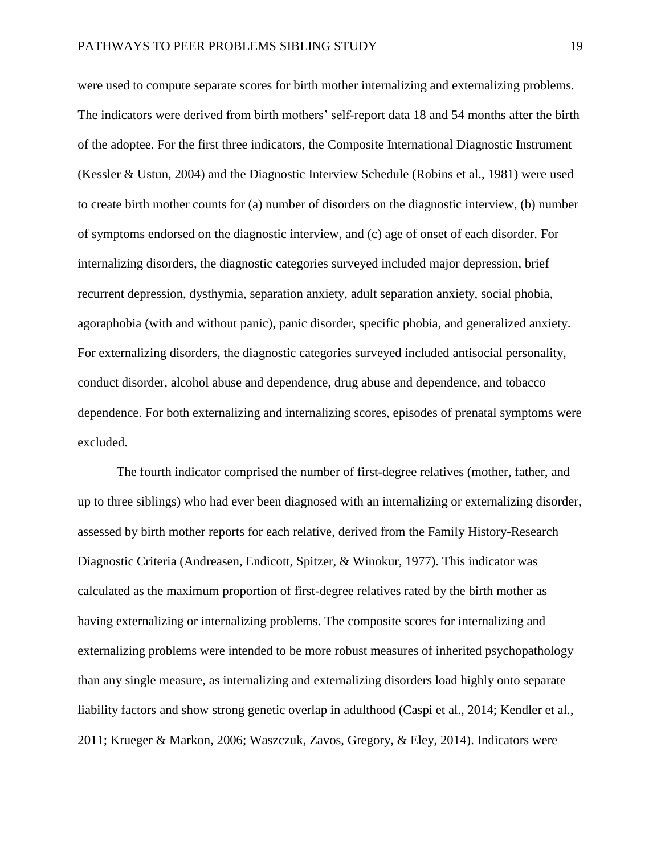were used to compute separate scores for birth mother internalizing and externalizing problems. The indicators were derived from birth mothers' self-report data 18 and 54 months after the birth of the adoptee. For the first three indicators, the Composite International Diagnostic Instrument (Kessler & Ustun, 2004) and the Diagnostic Interview Schedule (Robins et al., 1981) were used to create birth mother counts for (a) number of disorders on the diagnostic interview, (b) number of symptoms endorsed on the diagnostic interview, and (c) age of onset of each disorder. For internalizing disorders, the diagnostic categories surveyed included major depression, brief recurrent depression, dysthymia, separation anxiety, adult separation anxiety, social phobia, agoraphobia (with and without panic), panic disorder, specific phobia, and generalized anxiety. For externalizing disorders, the diagnostic categories surveyed included antisocial personality, conduct disorder, alcohol abuse and dependence, drug abuse and dependence, and tobacco dependence. For both externalizing and internalizing scores, episodes of prenatal symptoms were excluded.

The fourth indicator comprised the number of first-degree relatives (mother, father, and up to three siblings) who had ever been diagnosed with an internalizing or externalizing disorder, assessed by birth mother reports for each relative, derived from the Family History-Research Diagnostic Criteria (Andreasen, Endicott, Spitzer, & Winokur, 1977). This indicator was calculated as the maximum proportion of first-degree relatives rated by the birth mother as having externalizing or internalizing problems. The composite scores for internalizing and externalizing problems were intended to be more robust measures of inherited psychopathology than any single measure, as internalizing and externalizing disorders load highly onto separate liability factors and show strong genetic overlap in adulthood (Caspi et al., 2014; Kendler et al., 2011; Krueger & Markon, 2006; Waszczuk, Zavos, Gregory, & Eley, 2014). Indicators were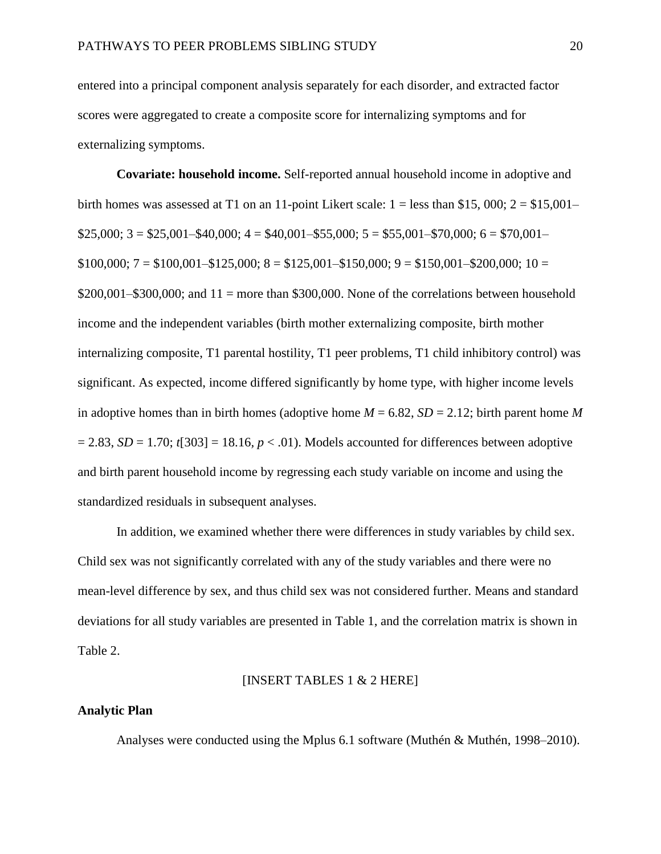entered into a principal component analysis separately for each disorder, and extracted factor scores were aggregated to create a composite score for internalizing symptoms and for externalizing symptoms.

**Covariate: household income.** Self-reported annual household income in adoptive and birth homes was assessed at T1 on an 11-point Likert scale:  $1 =$  less than \$15,000;  $2 =$  \$15,001–  $$25,000; 3 = $25,001 - $40,000; 4 = $40,001 - $55,000; 5 = $55,001 - $70,000; 6 = $70,001 $100,000; 7 = $100,001 - $125,000; 8 = $125,001 - $150,000; 9 = $150,001 - $200,000; 10 =$  $$200,001–$300,000$ ; and  $11 =$  more than \$300,000. None of the correlations between household income and the independent variables (birth mother externalizing composite, birth mother internalizing composite, T1 parental hostility, T1 peer problems, T1 child inhibitory control) was significant. As expected, income differed significantly by home type, with higher income levels in adoptive homes than in birth homes (adoptive home  $M = 6.82$ ,  $SD = 2.12$ ; birth parent home M  $= 2.83$ , *SD* = 1.70;  $t$ [303] = 18.16,  $p < .01$ ). Models accounted for differences between adoptive and birth parent household income by regressing each study variable on income and using the standardized residuals in subsequent analyses.

In addition, we examined whether there were differences in study variables by child sex. Child sex was not significantly correlated with any of the study variables and there were no mean-level difference by sex, and thus child sex was not considered further. Means and standard deviations for all study variables are presented in Table 1, and the correlation matrix is shown in Table 2.

#### [INSERT TABLES 1 & 2 HERE]

#### **Analytic Plan**

Analyses were conducted using the Mplus 6.1 software (Muthén & Muthén, 1998–2010).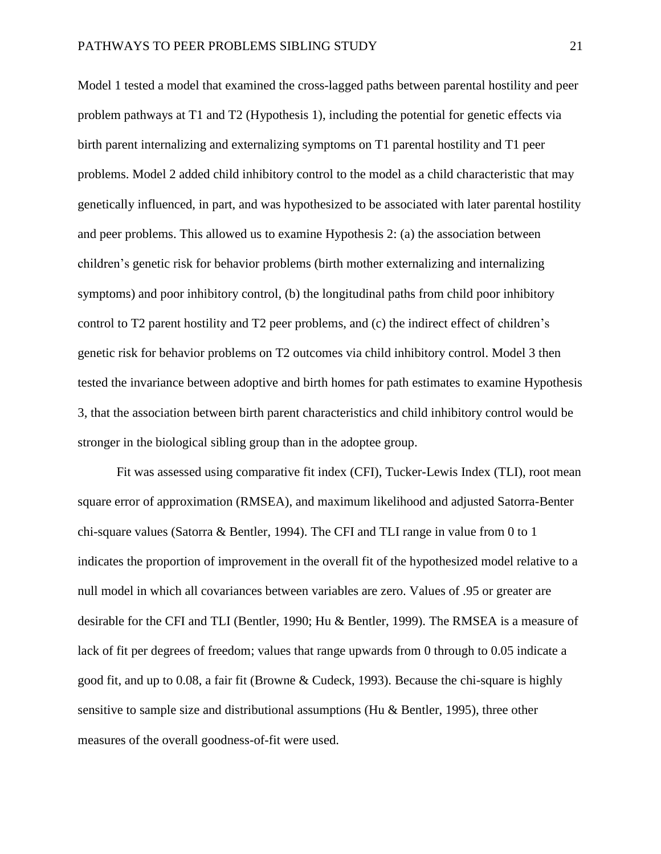Model 1 tested a model that examined the cross-lagged paths between parental hostility and peer problem pathways at T1 and T2 (Hypothesis 1), including the potential for genetic effects via birth parent internalizing and externalizing symptoms on T1 parental hostility and T1 peer problems. Model 2 added child inhibitory control to the model as a child characteristic that may genetically influenced, in part, and was hypothesized to be associated with later parental hostility and peer problems. This allowed us to examine Hypothesis 2: (a) the association between children's genetic risk for behavior problems (birth mother externalizing and internalizing symptoms) and poor inhibitory control, (b) the longitudinal paths from child poor inhibitory control to T2 parent hostility and T2 peer problems, and (c) the indirect effect of children's genetic risk for behavior problems on T2 outcomes via child inhibitory control. Model 3 then tested the invariance between adoptive and birth homes for path estimates to examine Hypothesis 3, that the association between birth parent characteristics and child inhibitory control would be stronger in the biological sibling group than in the adoptee group.

Fit was assessed using comparative fit index (CFI), Tucker-Lewis Index (TLI), root mean square error of approximation (RMSEA), and maximum likelihood and adjusted Satorra-Benter chi-square values (Satorra & Bentler, 1994). The CFI and TLI range in value from 0 to 1 indicates the proportion of improvement in the overall fit of the hypothesized model relative to a null model in which all covariances between variables are zero. Values of .95 or greater are desirable for the CFI and TLI (Bentler, 1990; Hu & Bentler, 1999). The RMSEA is a measure of lack of fit per degrees of freedom; values that range upwards from 0 through to 0.05 indicate a good fit, and up to 0.08, a fair fit (Browne & Cudeck, 1993). Because the chi-square is highly sensitive to sample size and distributional assumptions (Hu & Bentler, 1995), three other measures of the overall goodness-of-fit were used.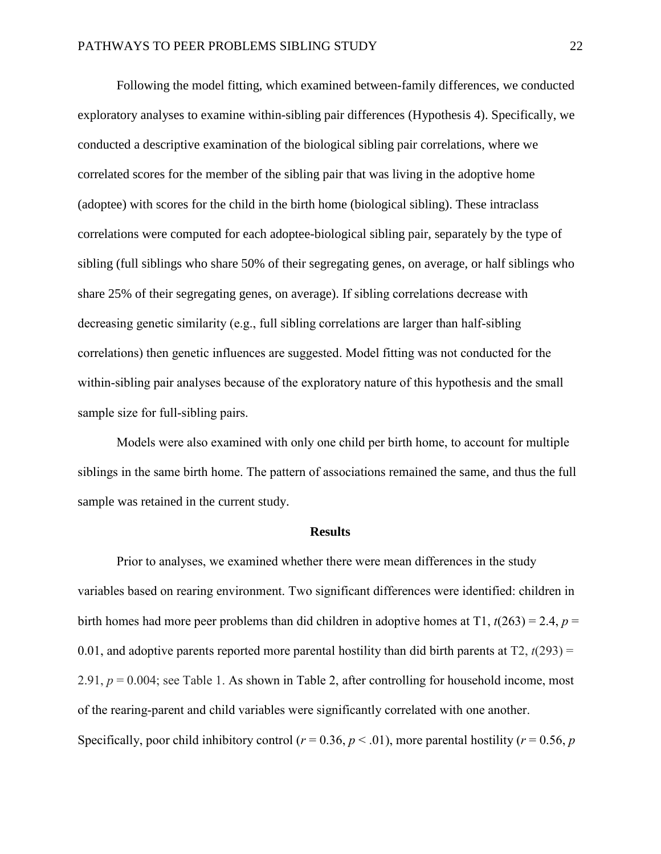Following the model fitting, which examined between-family differences, we conducted exploratory analyses to examine within-sibling pair differences (Hypothesis 4). Specifically, we conducted a descriptive examination of the biological sibling pair correlations, where we correlated scores for the member of the sibling pair that was living in the adoptive home (adoptee) with scores for the child in the birth home (biological sibling). These intraclass correlations were computed for each adoptee-biological sibling pair, separately by the type of sibling (full siblings who share 50% of their segregating genes, on average, or half siblings who share 25% of their segregating genes, on average). If sibling correlations decrease with decreasing genetic similarity (e.g., full sibling correlations are larger than half-sibling correlations) then genetic influences are suggested. Model fitting was not conducted for the within-sibling pair analyses because of the exploratory nature of this hypothesis and the small sample size for full-sibling pairs.

Models were also examined with only one child per birth home, to account for multiple siblings in the same birth home. The pattern of associations remained the same, and thus the full sample was retained in the current study.

#### **Results**

Prior to analyses, we examined whether there were mean differences in the study variables based on rearing environment. Two significant differences were identified: children in birth homes had more peer problems than did children in adoptive homes at T1,  $t(263) = 2.4$ ,  $p =$ 0.01, and adoptive parents reported more parental hostility than did birth parents at  $T_2$ ,  $t(293) =$ 2.91, *p* = 0.004; see Table 1. As shown in Table 2, after controlling for household income, most of the rearing-parent and child variables were significantly correlated with one another. Specifically, poor child inhibitory control ( $r = 0.36$ ,  $p < .01$ ), more parental hostility ( $r = 0.56$ ,  $p$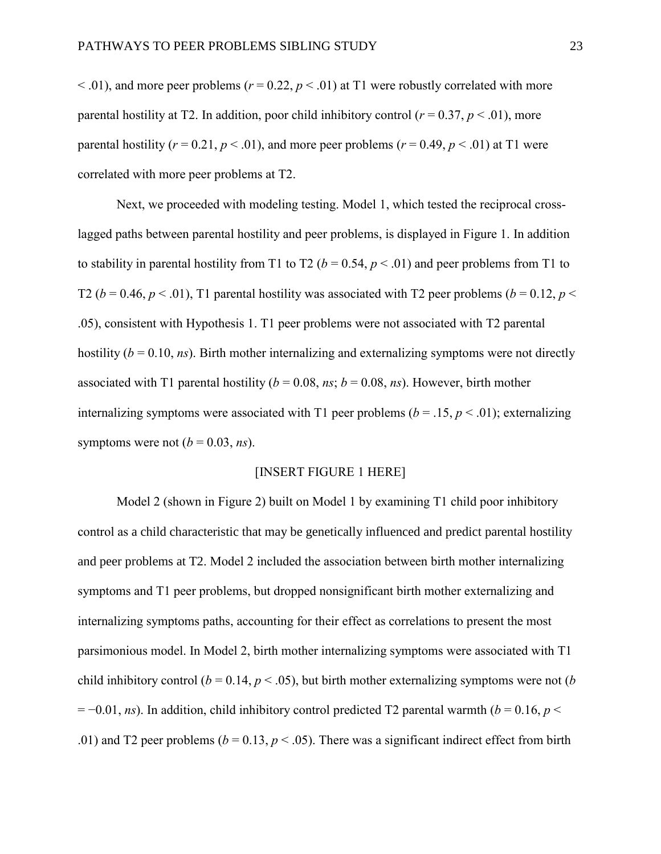$\leq$  0.01), and more peer problems ( $r = 0.22$ ,  $p \leq 0.01$ ) at T1 were robustly correlated with more parental hostility at T2. In addition, poor child inhibitory control ( $r = 0.37$ ,  $p < .01$ ), more parental hostility ( $r = 0.21$ ,  $p < .01$ ), and more peer problems ( $r = 0.49$ ,  $p < .01$ ) at T1 were correlated with more peer problems at T2.

Next, we proceeded with modeling testing. Model 1, which tested the reciprocal crosslagged paths between parental hostility and peer problems, is displayed in Figure 1. In addition to stability in parental hostility from T1 to T2 ( $b = 0.54$ ,  $p < .01$ ) and peer problems from T1 to T2 ( $b = 0.46$ ,  $p < .01$ ), T1 parental hostility was associated with T2 peer problems ( $b = 0.12$ ,  $p <$ .05), consistent with Hypothesis 1. T1 peer problems were not associated with T2 parental hostility  $(b = 0.10, ns)$ . Birth mother internalizing and externalizing symptoms were not directly associated with T1 parental hostility ( $b = 0.08$ , *ns*;  $b = 0.08$ , *ns*). However, birth mother internalizing symptoms were associated with T1 peer problems ( $b = .15$ ,  $p < .01$ ); externalizing symptoms were not  $(b = 0.03, ns)$ .

#### [INSERT FIGURE 1 HERE]

Model 2 (shown in Figure 2) built on Model 1 by examining T1 child poor inhibitory control as a child characteristic that may be genetically influenced and predict parental hostility and peer problems at T2. Model 2 included the association between birth mother internalizing symptoms and T1 peer problems, but dropped nonsignificant birth mother externalizing and internalizing symptoms paths, accounting for their effect as correlations to present the most parsimonious model. In Model 2, birth mother internalizing symptoms were associated with T1 child inhibitory control ( $b = 0.14$ ,  $p < .05$ ), but birth mother externalizing symptoms were not ( $b$ )  $= -0.01$ , *ns*). In addition, child inhibitory control predicted T2 parental warmth (*b* = 0.16, *p* < .01) and T2 peer problems ( $b = 0.13$ ,  $p < .05$ ). There was a significant indirect effect from birth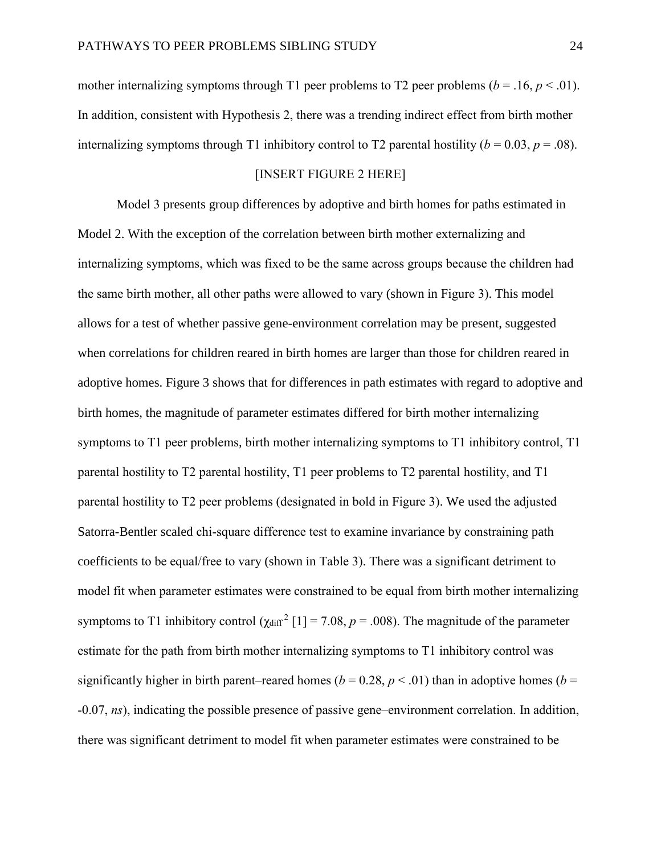mother internalizing symptoms through T1 peer problems to T2 peer problems ( $b = .16$ ,  $p < .01$ ). In addition, consistent with Hypothesis 2, there was a trending indirect effect from birth mother internalizing symptoms through T1 inhibitory control to T2 parental hostility ( $b = 0.03$ ,  $p = .08$ ).

## [INSERT FIGURE 2 HERE]

Model 3 presents group differences by adoptive and birth homes for paths estimated in Model 2. With the exception of the correlation between birth mother externalizing and internalizing symptoms, which was fixed to be the same across groups because the children had the same birth mother, all other paths were allowed to vary (shown in Figure 3). This model allows for a test of whether passive gene-environment correlation may be present, suggested when correlations for children reared in birth homes are larger than those for children reared in adoptive homes. Figure 3 shows that for differences in path estimates with regard to adoptive and birth homes, the magnitude of parameter estimates differed for birth mother internalizing symptoms to T1 peer problems, birth mother internalizing symptoms to T1 inhibitory control, T1 parental hostility to T2 parental hostility, T1 peer problems to T2 parental hostility, and T1 parental hostility to T2 peer problems (designated in bold in Figure 3). We used the adjusted Satorra-Bentler scaled chi-square difference test to examine invariance by constraining path coefficients to be equal/free to vary (shown in Table 3). There was a significant detriment to model fit when parameter estimates were constrained to be equal from birth mother internalizing symptoms to T1 inhibitory control  $(\chi_{\text{diff}}^2 [1] = 7.08, p = .008)$ . The magnitude of the parameter estimate for the path from birth mother internalizing symptoms to T1 inhibitory control was significantly higher in birth parent–reared homes ( $b = 0.28$ ,  $p < .01$ ) than in adoptive homes ( $b =$ -0.07, *ns*), indicating the possible presence of passive gene–environment correlation. In addition, there was significant detriment to model fit when parameter estimates were constrained to be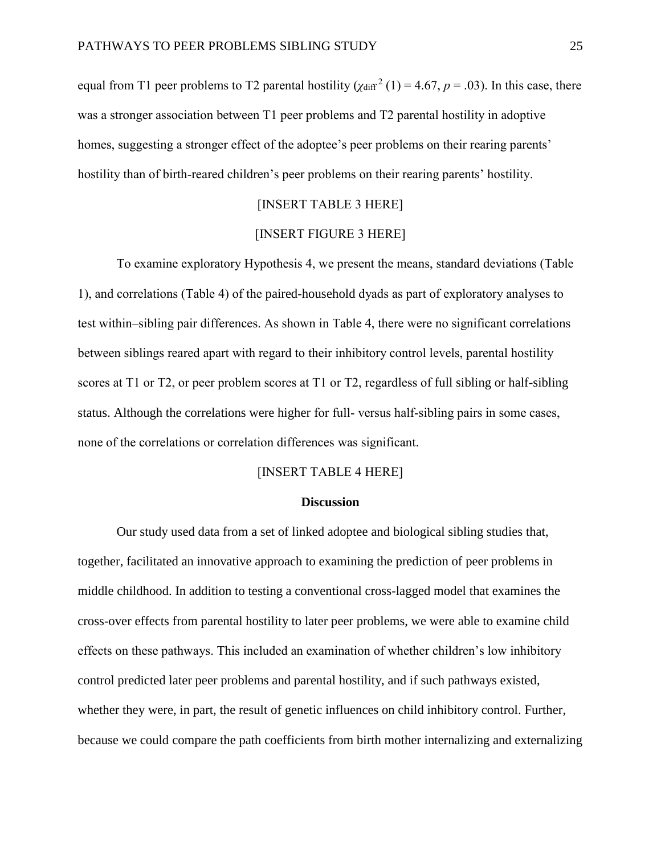equal from T1 peer problems to T2 parental hostility ( $\chi_{\text{diff}}^2$  (1) = 4.67, *p* = .03). In this case, there was a stronger association between T1 peer problems and T2 parental hostility in adoptive homes, suggesting a stronger effect of the adoptee's peer problems on their rearing parents' hostility than of birth-reared children's peer problems on their rearing parents' hostility.

# [INSERT TABLE 3 HERE]

### [INSERT FIGURE 3 HERE]

To examine exploratory Hypothesis 4, we present the means, standard deviations (Table 1), and correlations (Table 4) of the paired-household dyads as part of exploratory analyses to test within–sibling pair differences. As shown in Table 4, there were no significant correlations between siblings reared apart with regard to their inhibitory control levels, parental hostility scores at T1 or T2, or peer problem scores at T1 or T2, regardless of full sibling or half-sibling status. Although the correlations were higher for full- versus half-sibling pairs in some cases, none of the correlations or correlation differences was significant.

#### [INSERT TABLE 4 HERE]

#### **Discussion**

Our study used data from a set of linked adoptee and biological sibling studies that, together, facilitated an innovative approach to examining the prediction of peer problems in middle childhood. In addition to testing a conventional cross-lagged model that examines the cross-over effects from parental hostility to later peer problems, we were able to examine child effects on these pathways. This included an examination of whether children's low inhibitory control predicted later peer problems and parental hostility, and if such pathways existed, whether they were, in part, the result of genetic influences on child inhibitory control. Further, because we could compare the path coefficients from birth mother internalizing and externalizing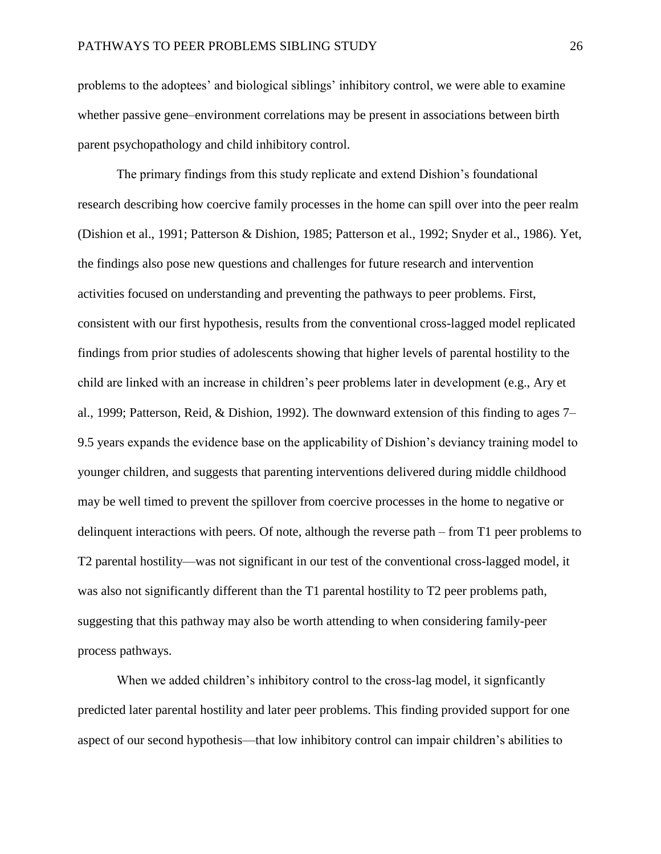problems to the adoptees' and biological siblings' inhibitory control, we were able to examine whether passive gene–environment correlations may be present in associations between birth parent psychopathology and child inhibitory control.

The primary findings from this study replicate and extend Dishion's foundational research describing how coercive family processes in the home can spill over into the peer realm (Dishion et al., 1991; Patterson & Dishion, 1985; Patterson et al., 1992; Snyder et al., 1986). Yet, the findings also pose new questions and challenges for future research and intervention activities focused on understanding and preventing the pathways to peer problems. First, consistent with our first hypothesis, results from the conventional cross-lagged model replicated findings from prior studies of adolescents showing that higher levels of parental hostility to the child are linked with an increase in children's peer problems later in development (e.g., Ary et al., 1999; Patterson, Reid, & Dishion, 1992). The downward extension of this finding to ages 7– 9.5 years expands the evidence base on the applicability of Dishion's deviancy training model to younger children, and suggests that parenting interventions delivered during middle childhood may be well timed to prevent the spillover from coercive processes in the home to negative or delinquent interactions with peers. Of note, although the reverse path – from T1 peer problems to T2 parental hostility—was not significant in our test of the conventional cross-lagged model, it was also not significantly different than the T1 parental hostility to T2 peer problems path, suggesting that this pathway may also be worth attending to when considering family-peer process pathways.

When we added children's inhibitory control to the cross-lag model, it signficantly predicted later parental hostility and later peer problems. This finding provided support for one aspect of our second hypothesis—that low inhibitory control can impair children's abilities to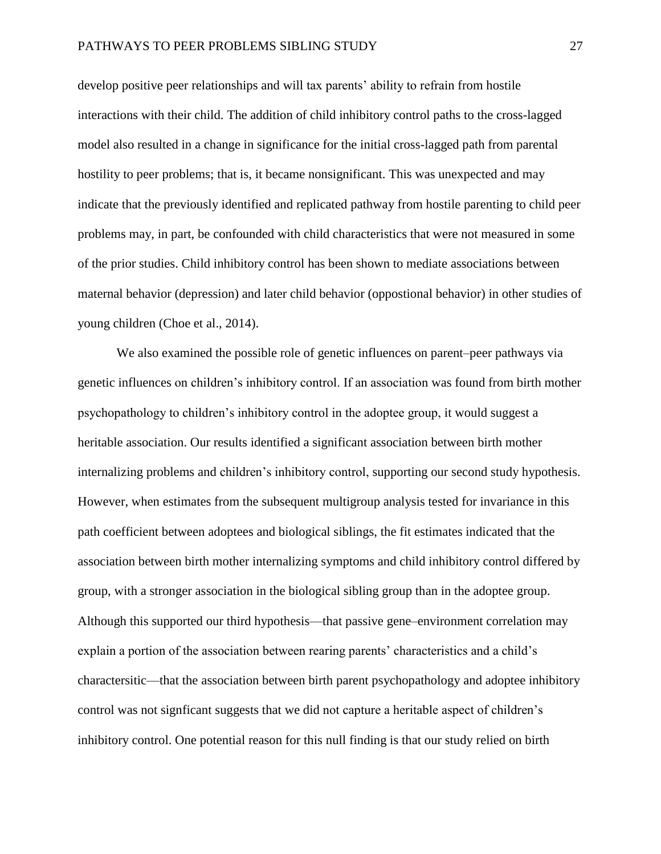develop positive peer relationships and will tax parents' ability to refrain from hostile interactions with their child. The addition of child inhibitory control paths to the cross-lagged model also resulted in a change in significance for the initial cross-lagged path from parental hostility to peer problems; that is, it became nonsignificant. This was unexpected and may indicate that the previously identified and replicated pathway from hostile parenting to child peer problems may, in part, be confounded with child characteristics that were not measured in some of the prior studies. Child inhibitory control has been shown to mediate associations between maternal behavior (depression) and later child behavior (oppostional behavior) in other studies of young children (Choe et al., 2014).

We also examined the possible role of genetic influences on parent–peer pathways via genetic influences on children's inhibitory control. If an association was found from birth mother psychopathology to children's inhibitory control in the adoptee group, it would suggest a heritable association. Our results identified a significant association between birth mother internalizing problems and children's inhibitory control, supporting our second study hypothesis. However, when estimates from the subsequent multigroup analysis tested for invariance in this path coefficient between adoptees and biological siblings, the fit estimates indicated that the association between birth mother internalizing symptoms and child inhibitory control differed by group, with a stronger association in the biological sibling group than in the adoptee group. Although this supported our third hypothesis—that passive gene–environment correlation may explain a portion of the association between rearing parents' characteristics and a child's charactersitic—that the association between birth parent psychopathology and adoptee inhibitory control was not signficant suggests that we did not capture a heritable aspect of children's inhibitory control. One potential reason for this null finding is that our study relied on birth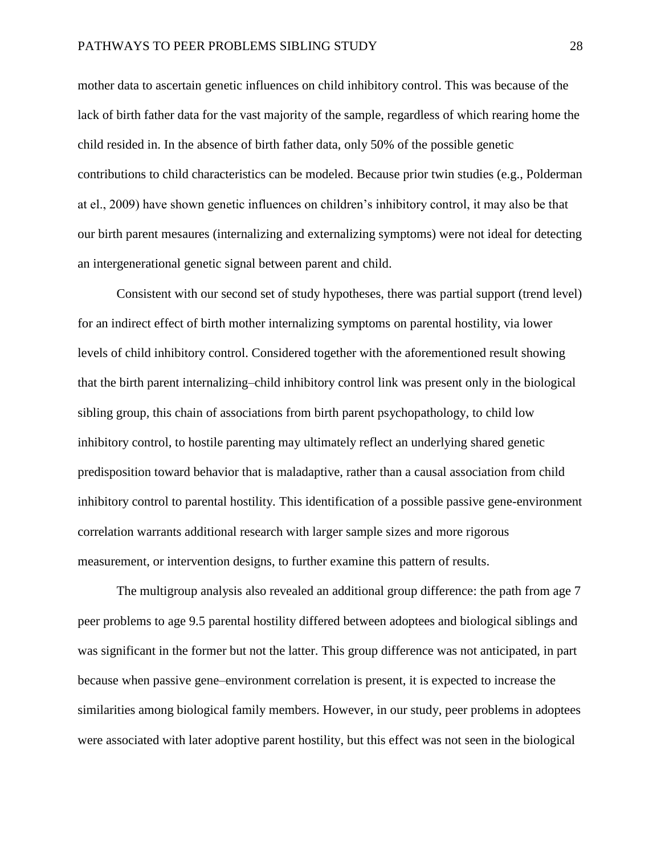mother data to ascertain genetic influences on child inhibitory control. This was because of the lack of birth father data for the vast majority of the sample, regardless of which rearing home the child resided in. In the absence of birth father data, only 50% of the possible genetic contributions to child characteristics can be modeled. Because prior twin studies (e.g., Polderman at el., 2009) have shown genetic influences on children's inhibitory control, it may also be that our birth parent mesaures (internalizing and externalizing symptoms) were not ideal for detecting an intergenerational genetic signal between parent and child.

Consistent with our second set of study hypotheses, there was partial support (trend level) for an indirect effect of birth mother internalizing symptoms on parental hostility, via lower levels of child inhibitory control. Considered together with the aforementioned result showing that the birth parent internalizing–child inhibitory control link was present only in the biological sibling group, this chain of associations from birth parent psychopathology, to child low inhibitory control, to hostile parenting may ultimately reflect an underlying shared genetic predisposition toward behavior that is maladaptive, rather than a causal association from child inhibitory control to parental hostility. This identification of a possible passive gene-environment correlation warrants additional research with larger sample sizes and more rigorous measurement, or intervention designs, to further examine this pattern of results.

The multigroup analysis also revealed an additional group difference: the path from age 7 peer problems to age 9.5 parental hostility differed between adoptees and biological siblings and was significant in the former but not the latter. This group difference was not anticipated, in part because when passive gene–environment correlation is present, it is expected to increase the similarities among biological family members. However, in our study, peer problems in adoptees were associated with later adoptive parent hostility, but this effect was not seen in the biological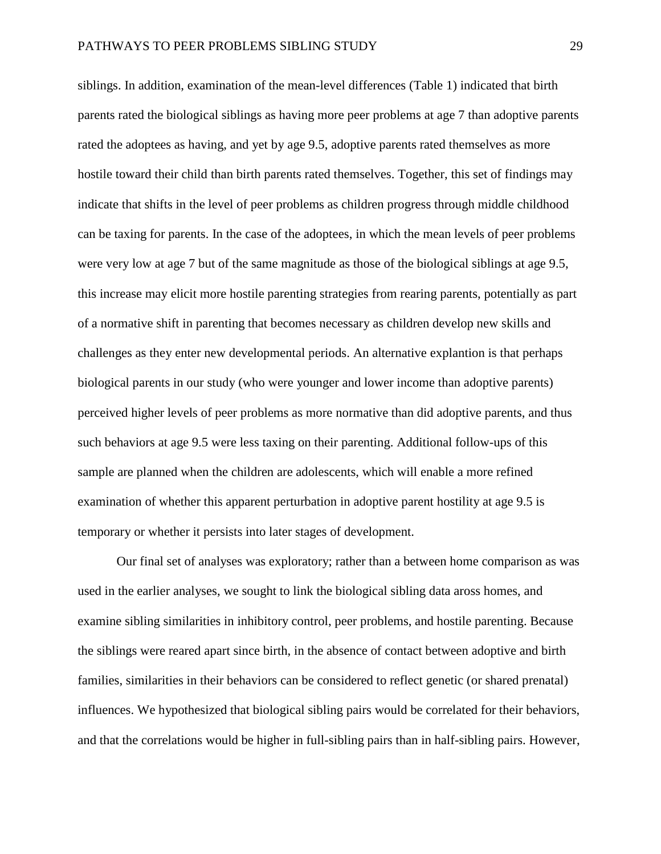siblings. In addition, examination of the mean-level differences (Table 1) indicated that birth parents rated the biological siblings as having more peer problems at age 7 than adoptive parents rated the adoptees as having, and yet by age 9.5, adoptive parents rated themselves as more hostile toward their child than birth parents rated themselves. Together, this set of findings may indicate that shifts in the level of peer problems as children progress through middle childhood can be taxing for parents. In the case of the adoptees, in which the mean levels of peer problems were very low at age 7 but of the same magnitude as those of the biological siblings at age 9.5, this increase may elicit more hostile parenting strategies from rearing parents, potentially as part of a normative shift in parenting that becomes necessary as children develop new skills and challenges as they enter new developmental periods. An alternative explantion is that perhaps biological parents in our study (who were younger and lower income than adoptive parents) perceived higher levels of peer problems as more normative than did adoptive parents, and thus such behaviors at age 9.5 were less taxing on their parenting. Additional follow-ups of this sample are planned when the children are adolescents, which will enable a more refined examination of whether this apparent perturbation in adoptive parent hostility at age 9.5 is temporary or whether it persists into later stages of development.

Our final set of analyses was exploratory; rather than a between home comparison as was used in the earlier analyses, we sought to link the biological sibling data aross homes, and examine sibling similarities in inhibitory control, peer problems, and hostile parenting. Because the siblings were reared apart since birth, in the absence of contact between adoptive and birth families, similarities in their behaviors can be considered to reflect genetic (or shared prenatal) influences. We hypothesized that biological sibling pairs would be correlated for their behaviors, and that the correlations would be higher in full-sibling pairs than in half-sibling pairs. However,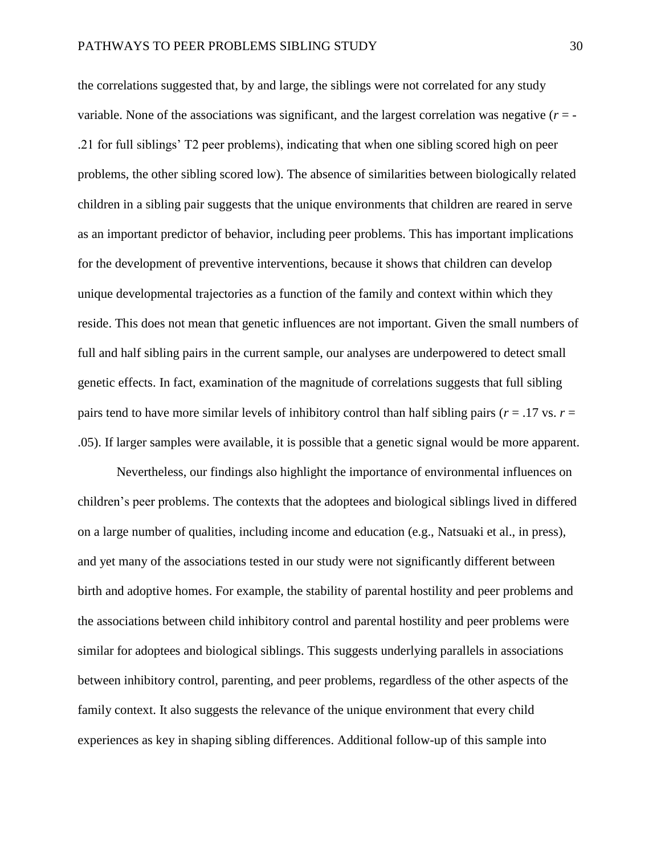the correlations suggested that, by and large, the siblings were not correlated for any study variable. None of the associations was significant, and the largest correlation was negative  $(r = -1)$ .21 for full siblings' T2 peer problems), indicating that when one sibling scored high on peer problems, the other sibling scored low). The absence of similarities between biologically related children in a sibling pair suggests that the unique environments that children are reared in serve as an important predictor of behavior, including peer problems. This has important implications for the development of preventive interventions, because it shows that children can develop unique developmental trajectories as a function of the family and context within which they reside. This does not mean that genetic influences are not important. Given the small numbers of full and half sibling pairs in the current sample, our analyses are underpowered to detect small genetic effects. In fact, examination of the magnitude of correlations suggests that full sibling pairs tend to have more similar levels of inhibitory control than half sibling pairs ( $r = .17$  vs.  $r =$ .05). If larger samples were available, it is possible that a genetic signal would be more apparent.

Nevertheless, our findings also highlight the importance of environmental influences on children's peer problems. The contexts that the adoptees and biological siblings lived in differed on a large number of qualities, including income and education (e.g., Natsuaki et al., in press), and yet many of the associations tested in our study were not significantly different between birth and adoptive homes. For example, the stability of parental hostility and peer problems and the associations between child inhibitory control and parental hostility and peer problems were similar for adoptees and biological siblings. This suggests underlying parallels in associations between inhibitory control, parenting, and peer problems, regardless of the other aspects of the family context. It also suggests the relevance of the unique environment that every child experiences as key in shaping sibling differences. Additional follow-up of this sample into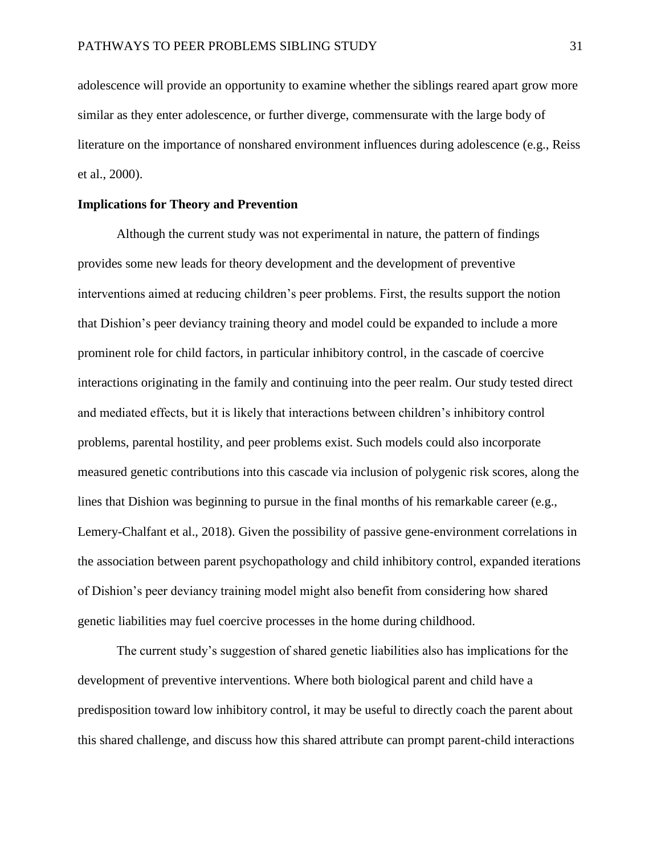adolescence will provide an opportunity to examine whether the siblings reared apart grow more similar as they enter adolescence, or further diverge, commensurate with the large body of literature on the importance of nonshared environment influences during adolescence (e.g., Reiss et al., 2000).

#### **Implications for Theory and Prevention**

Although the current study was not experimental in nature, the pattern of findings provides some new leads for theory development and the development of preventive interventions aimed at reducing children's peer problems. First, the results support the notion that Dishion's peer deviancy training theory and model could be expanded to include a more prominent role for child factors, in particular inhibitory control, in the cascade of coercive interactions originating in the family and continuing into the peer realm. Our study tested direct and mediated effects, but it is likely that interactions between children's inhibitory control problems, parental hostility, and peer problems exist. Such models could also incorporate measured genetic contributions into this cascade via inclusion of polygenic risk scores, along the lines that Dishion was beginning to pursue in the final months of his remarkable career (e.g., Lemery-Chalfant et al., 2018). Given the possibility of passive gene-environment correlations in the association between parent psychopathology and child inhibitory control, expanded iterations of Dishion's peer deviancy training model might also benefit from considering how shared genetic liabilities may fuel coercive processes in the home during childhood.

The current study's suggestion of shared genetic liabilities also has implications for the development of preventive interventions. Where both biological parent and child have a predisposition toward low inhibitory control, it may be useful to directly coach the parent about this shared challenge, and discuss how this shared attribute can prompt parent-child interactions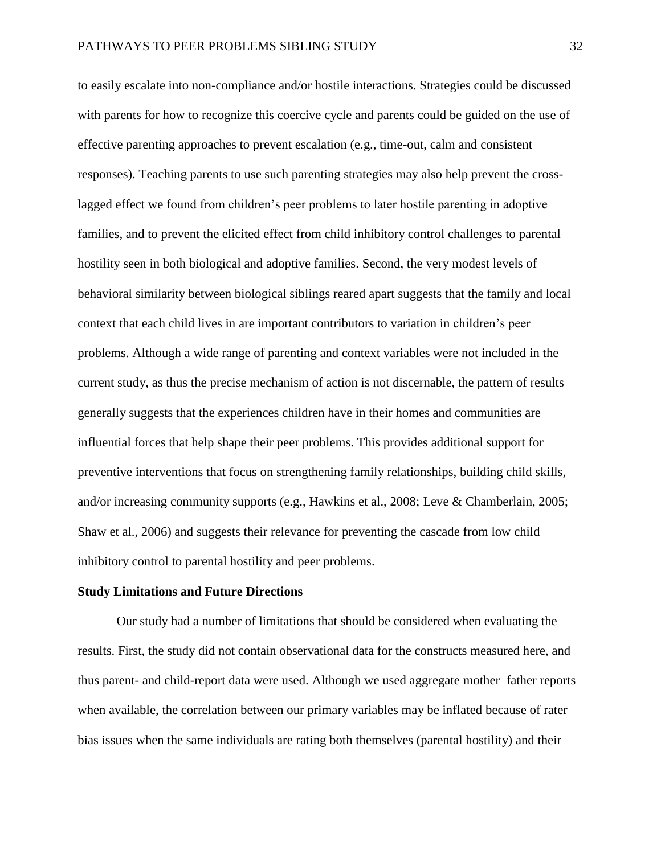to easily escalate into non-compliance and/or hostile interactions. Strategies could be discussed with parents for how to recognize this coercive cycle and parents could be guided on the use of effective parenting approaches to prevent escalation (e.g., time-out, calm and consistent responses). Teaching parents to use such parenting strategies may also help prevent the crosslagged effect we found from children's peer problems to later hostile parenting in adoptive families, and to prevent the elicited effect from child inhibitory control challenges to parental hostility seen in both biological and adoptive families. Second, the very modest levels of behavioral similarity between biological siblings reared apart suggests that the family and local context that each child lives in are important contributors to variation in children's peer problems. Although a wide range of parenting and context variables were not included in the current study, as thus the precise mechanism of action is not discernable, the pattern of results generally suggests that the experiences children have in their homes and communities are influential forces that help shape their peer problems. This provides additional support for preventive interventions that focus on strengthening family relationships, building child skills, and/or increasing community supports (e.g., Hawkins et al., 2008; Leve & Chamberlain, 2005; Shaw et al., 2006) and suggests their relevance for preventing the cascade from low child inhibitory control to parental hostility and peer problems.

#### **Study Limitations and Future Directions**

Our study had a number of limitations that should be considered when evaluating the results. First, the study did not contain observational data for the constructs measured here, and thus parent- and child-report data were used. Although we used aggregate mother–father reports when available, the correlation between our primary variables may be inflated because of rater bias issues when the same individuals are rating both themselves (parental hostility) and their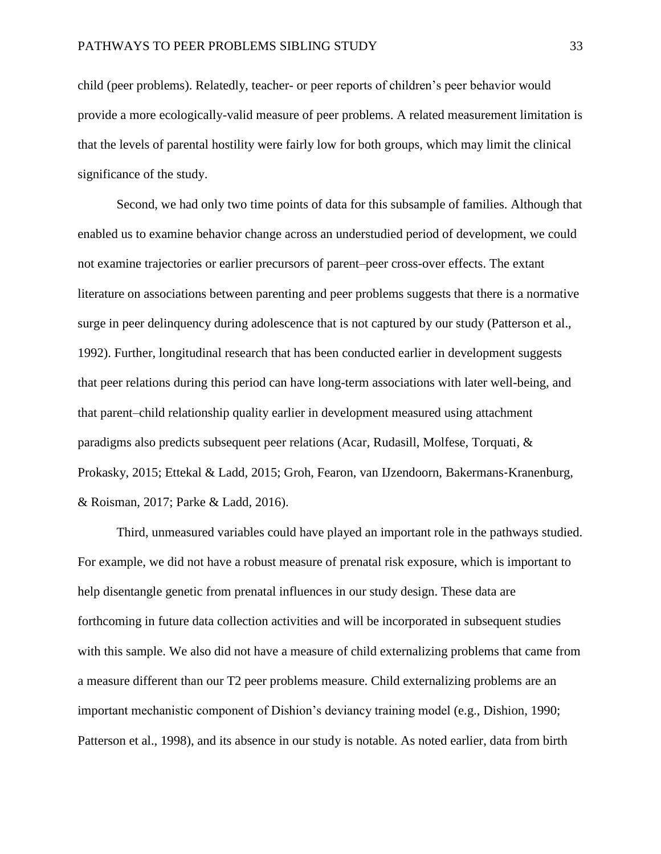child (peer problems). Relatedly, teacher- or peer reports of children's peer behavior would provide a more ecologically-valid measure of peer problems. A related measurement limitation is that the levels of parental hostility were fairly low for both groups, which may limit the clinical significance of the study.

Second, we had only two time points of data for this subsample of families. Although that enabled us to examine behavior change across an understudied period of development, we could not examine trajectories or earlier precursors of parent–peer cross-over effects. The extant literature on associations between parenting and peer problems suggests that there is a normative surge in peer delinquency during adolescence that is not captured by our study (Patterson et al., 1992). Further, longitudinal research that has been conducted earlier in development suggests that peer relations during this period can have long-term associations with later well-being, and that parent–child relationship quality earlier in development measured using attachment paradigms also predicts subsequent peer relations (Acar, Rudasill, Molfese, Torquati, & Prokasky, 2015; Ettekal & Ladd, 2015; Groh, Fearon, van IJzendoorn, Bakermans‐Kranenburg, & Roisman, 2017; Parke & Ladd, 2016).

Third, unmeasured variables could have played an important role in the pathways studied. For example, we did not have a robust measure of prenatal risk exposure, which is important to help disentangle genetic from prenatal influences in our study design. These data are forthcoming in future data collection activities and will be incorporated in subsequent studies with this sample. We also did not have a measure of child externalizing problems that came from a measure different than our T2 peer problems measure. Child externalizing problems are an important mechanistic component of Dishion's deviancy training model (e.g., Dishion, 1990; Patterson et al., 1998), and its absence in our study is notable. As noted earlier, data from birth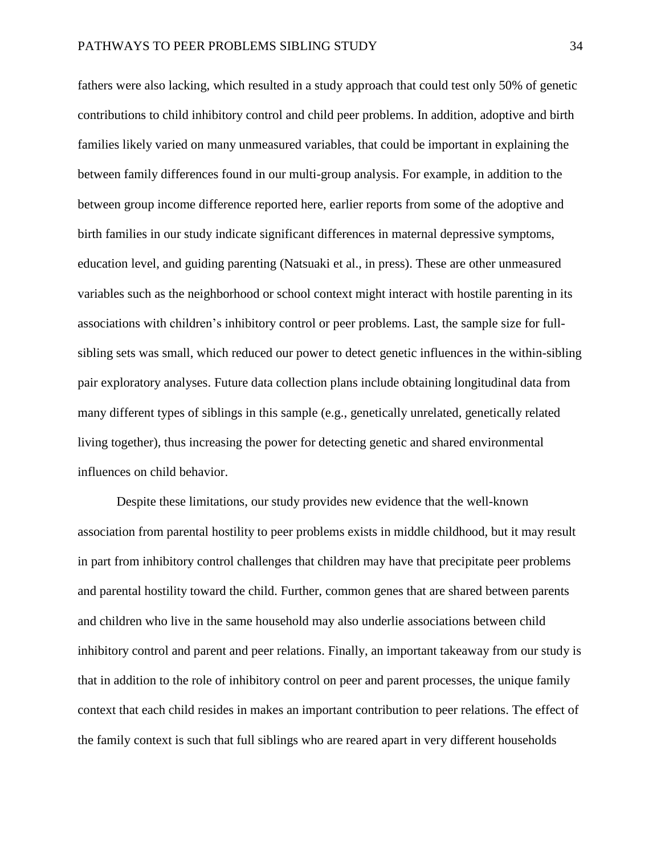fathers were also lacking, which resulted in a study approach that could test only 50% of genetic contributions to child inhibitory control and child peer problems. In addition, adoptive and birth families likely varied on many unmeasured variables, that could be important in explaining the between family differences found in our multi-group analysis. For example, in addition to the between group income difference reported here, earlier reports from some of the adoptive and birth families in our study indicate significant differences in maternal depressive symptoms, education level, and guiding parenting (Natsuaki et al., in press). These are other unmeasured variables such as the neighborhood or school context might interact with hostile parenting in its associations with children's inhibitory control or peer problems. Last, the sample size for fullsibling sets was small, which reduced our power to detect genetic influences in the within-sibling pair exploratory analyses. Future data collection plans include obtaining longitudinal data from many different types of siblings in this sample (e.g., genetically unrelated, genetically related living together), thus increasing the power for detecting genetic and shared environmental influences on child behavior.

Despite these limitations, our study provides new evidence that the well-known association from parental hostility to peer problems exists in middle childhood, but it may result in part from inhibitory control challenges that children may have that precipitate peer problems and parental hostility toward the child. Further, common genes that are shared between parents and children who live in the same household may also underlie associations between child inhibitory control and parent and peer relations. Finally, an important takeaway from our study is that in addition to the role of inhibitory control on peer and parent processes, the unique family context that each child resides in makes an important contribution to peer relations. The effect of the family context is such that full siblings who are reared apart in very different households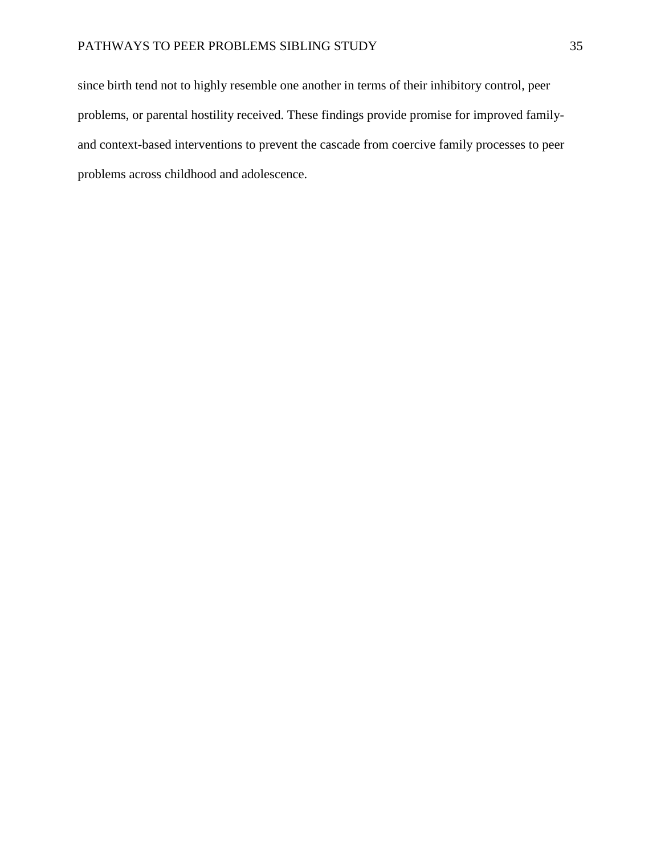since birth tend not to highly resemble one another in terms of their inhibitory control, peer problems, or parental hostility received. These findings provide promise for improved familyand context-based interventions to prevent the cascade from coercive family processes to peer problems across childhood and adolescence.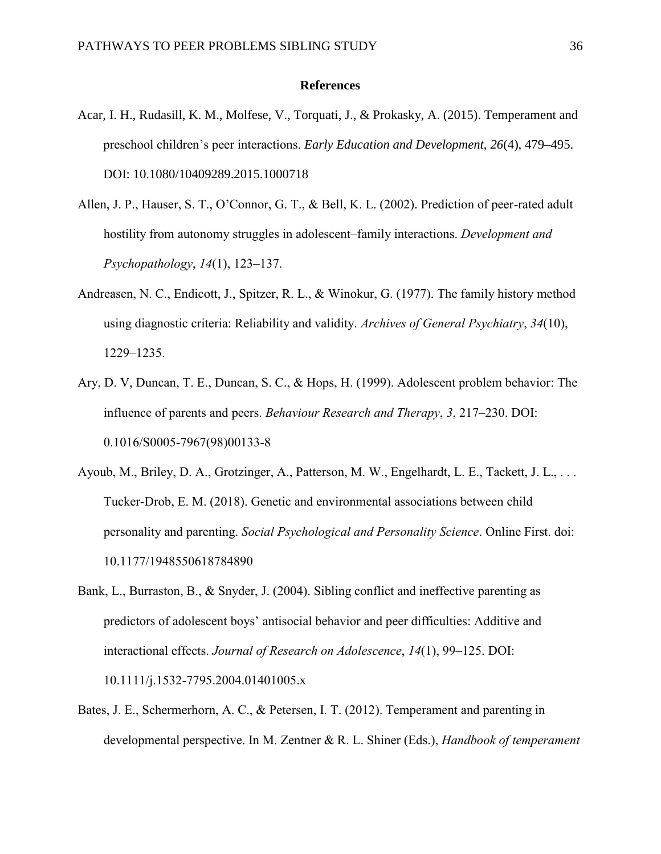#### **References**

- Acar, I. H., Rudasill, K. M., Molfese, V., Torquati, J., & Prokasky, A. (2015). Temperament and preschool children's peer interactions. *Early Education and Development*, *26*(4), 479–495. DOI: 10.1080/10409289.2015.1000718
- Allen, J. P., Hauser, S. T., O'Connor, G. T., & Bell, K. L. (2002). Prediction of peer-rated adult hostility from autonomy struggles in adolescent–family interactions. *Development and Psychopathology*, *14*(1), 123–137.
- Andreasen, N. C., Endicott, J., Spitzer, R. L., & Winokur, G. (1977). The family history method using diagnostic criteria: Reliability and validity. *Archives of General Psychiatry*, *34*(10), 1229–1235.
- Ary, D. V, Duncan, T. E., Duncan, S. C., & Hops, H. (1999). Adolescent problem behavior: The influence of parents and peers. *Behaviour Research and Therapy*, *3*, 217–230. DOI: 0.1016/S0005-7967(98)00133-8
- Ayoub, M., Briley, D. A., Grotzinger, A., Patterson, M. W., Engelhardt, L. E., Tackett, J. L., . . . Tucker-Drob, E. M. (2018). Genetic and environmental associations between child personality and parenting. *Social Psychological and Personality Science*. Online First. doi: 10.1177/1948550618784890
- Bank, L., Burraston, B., & Snyder, J. (2004). Sibling conflict and ineffective parenting as predictors of adolescent boys' antisocial behavior and peer difficulties: Additive and interactional effects. *Journal of Research on Adolescence*, *14*(1), 99–125. DOI: 10.1111/j.1532-7795.2004.01401005.x
- Bates, J. E., Schermerhorn, A. C., & Petersen, I. T. (2012). Temperament and parenting in developmental perspective. In M. Zentner & R. L. Shiner (Eds.), *Handbook of temperament*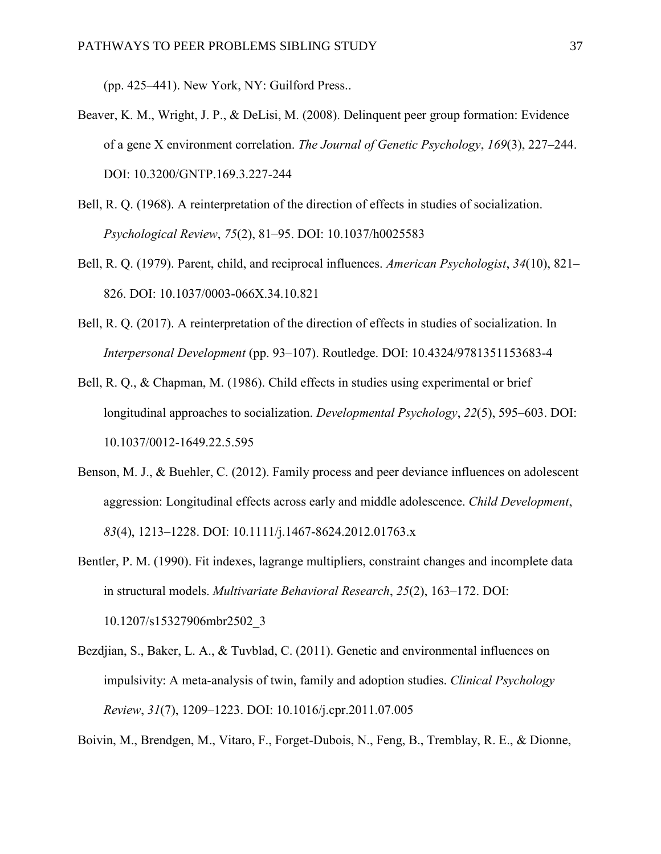(pp. 425–441). New York, NY: Guilford Press..

- Beaver, K. M., Wright, J. P., & DeLisi, M. (2008). Delinquent peer group formation: Evidence of a gene X environment correlation. *The Journal of Genetic Psychology*, *169*(3), 227–244. DOI: 10.3200/GNTP.169.3.227-244
- Bell, R. Q. (1968). A reinterpretation of the direction of effects in studies of socialization. *Psychological Review*, *75*(2), 81–95. DOI: 10.1037/h0025583
- Bell, R. Q. (1979). Parent, child, and reciprocal influences. *American Psychologist*, *34*(10), 821– 826. DOI: 10.1037/0003-066X.34.10.821
- Bell, R. Q. (2017). A reinterpretation of the direction of effects in studies of socialization. In *Interpersonal Development* (pp. 93–107). Routledge. DOI: 10.4324/9781351153683-4
- Bell, R. Q., & Chapman, M. (1986). Child effects in studies using experimental or brief longitudinal approaches to socialization. *Developmental Psychology*, *22*(5), 595–603. DOI: 10.1037/0012-1649.22.5.595
- Benson, M. J., & Buehler, C. (2012). Family process and peer deviance influences on adolescent aggression: Longitudinal effects across early and middle adolescence. *Child Development*, *83*(4), 1213–1228. DOI: 10.1111/j.1467-8624.2012.01763.x
- Bentler, P. M. (1990). Fit indexes, lagrange multipliers, constraint changes and incomplete data in structural models. *Multivariate Behavioral Research*, *25*(2), 163–172. DOI: 10.1207/s15327906mbr2502\_3
- Bezdjian, S., Baker, L. A., & Tuvblad, C. (2011). Genetic and environmental influences on impulsivity: A meta-analysis of twin, family and adoption studies. *Clinical Psychology Review*, *31*(7), 1209–1223. DOI: 10.1016/j.cpr.2011.07.005

Boivin, M., Brendgen, M., Vitaro, F., Forget-Dubois, N., Feng, B., Tremblay, R. E., & Dionne,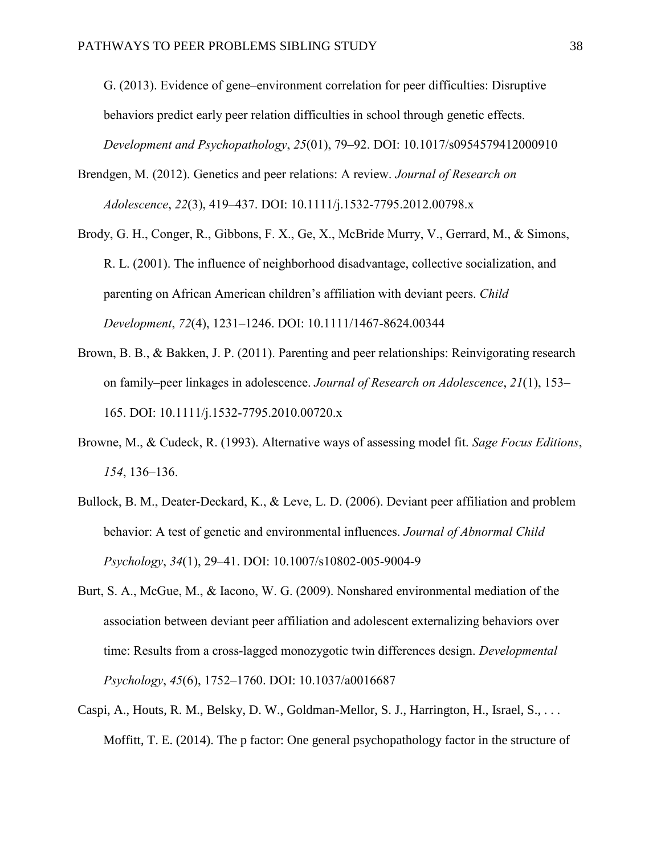G. (2013). Evidence of gene–environment correlation for peer difficulties: Disruptive behaviors predict early peer relation difficulties in school through genetic effects. *Development and Psychopathology*, *25*(01), 79–92. DOI: 10.1017/s0954579412000910

- Brendgen, M. (2012). Genetics and peer relations: A review. *Journal of Research on Adolescence*, *22*(3), 419–437. DOI: 10.1111/j.1532-7795.2012.00798.x
- Brody, G. H., Conger, R., Gibbons, F. X., Ge, X., McBride Murry, V., Gerrard, M., & Simons, R. L. (2001). The influence of neighborhood disadvantage, collective socialization, and parenting on African American children's affiliation with deviant peers. *Child Development*, *72*(4), 1231–1246. DOI: 10.1111/1467-8624.00344
- Brown, B. B., & Bakken, J. P. (2011). Parenting and peer relationships: Reinvigorating research on family–peer linkages in adolescence. *Journal of Research on Adolescence*, *21*(1), 153– 165. DOI: 10.1111/j.1532-7795.2010.00720.x
- Browne, M., & Cudeck, R. (1993). Alternative ways of assessing model fit. *Sage Focus Editions*, *154*, 136–136.
- Bullock, B. M., Deater-Deckard, K., & Leve, L. D. (2006). Deviant peer affiliation and problem behavior: A test of genetic and environmental influences. *Journal of Abnormal Child Psychology*, *34*(1), 29–41. DOI: 10.1007/s10802-005-9004-9
- Burt, S. A., McGue, M., & Iacono, W. G. (2009). Nonshared environmental mediation of the association between deviant peer affiliation and adolescent externalizing behaviors over time: Results from a cross-lagged monozygotic twin differences design. *Developmental Psychology*, *45*(6), 1752–1760. DOI: 10.1037/a0016687
- Caspi, A., Houts, R. M., Belsky, D. W., Goldman-Mellor, S. J., Harrington, H., Israel, S., . . . Moffitt, T. E. (2014). The p factor: One general psychopathology factor in the structure of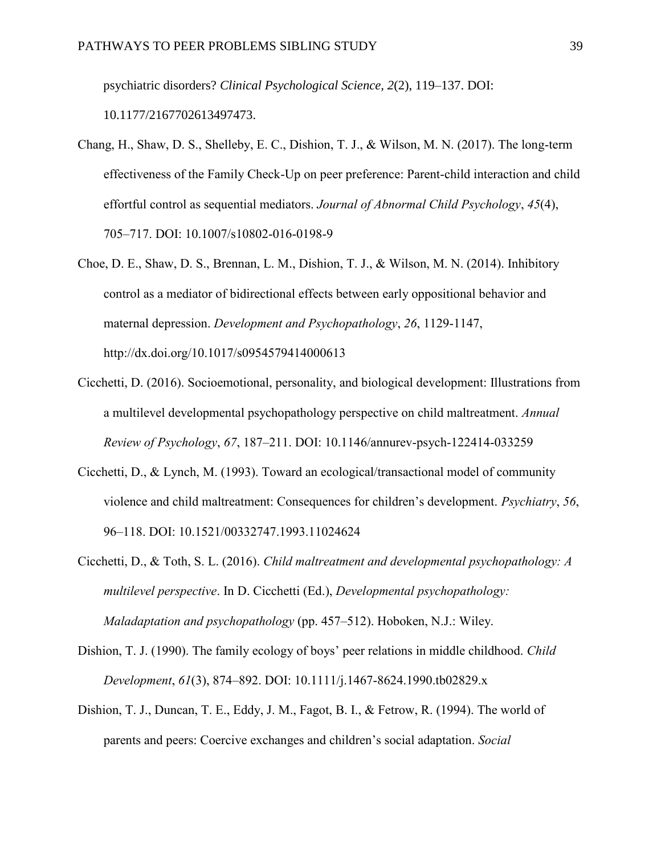psychiatric disorders? *Clinical Psychological Science, 2*(2), 119–137. DOI:

10.1177/2167702613497473.

- Chang, H., Shaw, D. S., Shelleby, E. C., Dishion, T. J., & Wilson, M. N. (2017). The long-term effectiveness of the Family Check-Up on peer preference: Parent-child interaction and child effortful control as sequential mediators. *Journal of Abnormal Child Psychology*, *45*(4), 705–717. DOI: 10.1007/s10802-016-0198-9
- Choe, D. E., Shaw, D. S., Brennan, L. M., Dishion, T. J., & Wilson, M. N. (2014). Inhibitory control as a mediator of bidirectional effects between early oppositional behavior and maternal depression. *Development and Psychopathology*, *26*, 1129-1147, http://dx.doi.org/10.1017/s0954579414000613
- Cicchetti, D. (2016). Socioemotional, personality, and biological development: Illustrations from a multilevel developmental psychopathology perspective on child maltreatment. *Annual Review of Psychology*, *67*, 187–211. DOI: 10.1146/annurev-psych-122414-033259
- Cicchetti, D., & Lynch, M. (1993). Toward an ecological/transactional model of community violence and child maltreatment: Consequences for children's development. *Psychiatry*, *56*, 96–118. DOI: 10.1521/00332747.1993.11024624
- Cicchetti, D., & Toth, S. L. (2016). *Child maltreatment and developmental psychopathology: A multilevel perspective*. In D. Cicchetti (Ed.), *Developmental psychopathology: Maladaptation and psychopathology* (pp. 457–512). Hoboken, N.J.: Wiley.
- Dishion, T. J. (1990). The family ecology of boys' peer relations in middle childhood. *Child Development*, *61*(3), 874–892. DOI: 10.1111/j.1467-8624.1990.tb02829.x
- Dishion, T. J., Duncan, T. E., Eddy, J. M., Fagot, B. I., & Fetrow, R. (1994). The world of parents and peers: Coercive exchanges and children's social adaptation. *Social*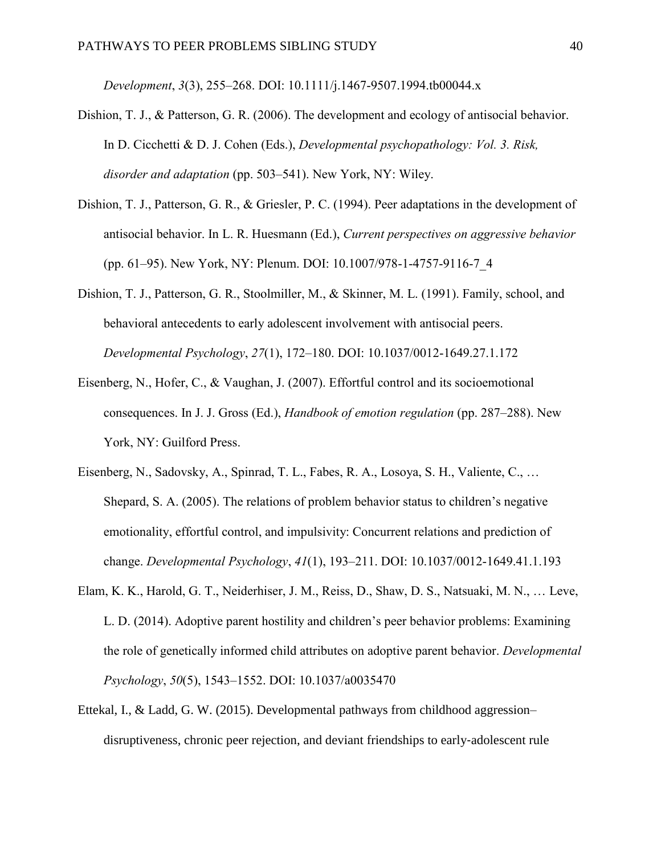*Development*, *3*(3), 255–268. DOI: 10.1111/j.1467-9507.1994.tb00044.x

- Dishion, T. J., & Patterson, G. R. (2006). The development and ecology of antisocial behavior. In D. Cicchetti & D. J. Cohen (Eds.), *Developmental psychopathology: Vol. 3. Risk, disorder and adaptation* (pp. 503–541). New York, NY: Wiley.
- Dishion, T. J., Patterson, G. R., & Griesler, P. C. (1994). Peer adaptations in the development of antisocial behavior. In L. R. Huesmann (Ed.), *Current perspectives on aggressive behavior* (pp. 61–95). New York, NY: Plenum. DOI: 10.1007/978-1-4757-9116-7\_4
- Dishion, T. J., Patterson, G. R., Stoolmiller, M., & Skinner, M. L. (1991). Family, school, and behavioral antecedents to early adolescent involvement with antisocial peers. *Developmental Psychology*, *27*(1), 172–180. DOI: 10.1037/0012-1649.27.1.172
- Eisenberg, N., Hofer, C., & Vaughan, J. (2007). Effortful control and its socioemotional consequences. In J. J. Gross (Ed.), *Handbook of emotion regulation* (pp. 287–288). New York, NY: Guilford Press.
- Eisenberg, N., Sadovsky, A., Spinrad, T. L., Fabes, R. A., Losoya, S. H., Valiente, C., … Shepard, S. A. (2005). The relations of problem behavior status to children's negative emotionality, effortful control, and impulsivity: Concurrent relations and prediction of change. *Developmental Psychology*, *41*(1), 193–211. DOI: 10.1037/0012-1649.41.1.193
- Elam, K. K., Harold, G. T., Neiderhiser, J. M., Reiss, D., Shaw, D. S., Natsuaki, M. N., … Leve, L. D. (2014). Adoptive parent hostility and children's peer behavior problems: Examining the role of genetically informed child attributes on adoptive parent behavior. *Developmental Psychology*, *50*(5), 1543–1552. DOI: 10.1037/a0035470
- Ettekal, I., & Ladd, G. W. (2015). Developmental pathways from childhood aggression– disruptiveness, chronic peer rejection, and deviant friendships to early‐adolescent rule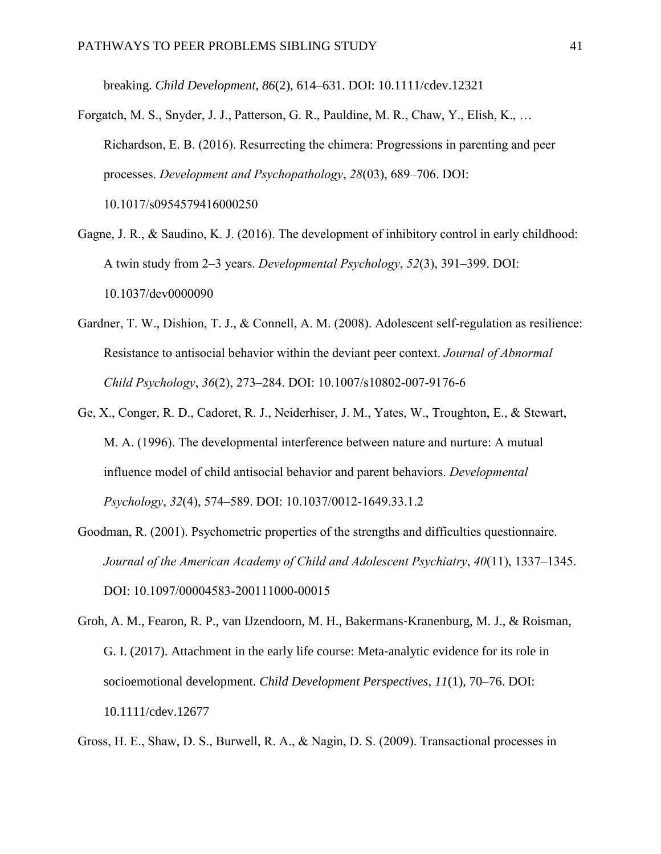breaking. *Child Development*, *86*(2), 614–631. DOI: 10.1111/cdev.12321

- Forgatch, M. S., Snyder, J. J., Patterson, G. R., Pauldine, M. R., Chaw, Y., Elish, K., … Richardson, E. B. (2016). Resurrecting the chimera: Progressions in parenting and peer processes. *Development and Psychopathology*, *28*(03), 689–706. DOI: 10.1017/s0954579416000250
- Gagne, J. R., & Saudino, K. J. (2016). The development of inhibitory control in early childhood: A twin study from 2–3 years. *Developmental Psychology*, *52*(3), 391–399. DOI: 10.1037/dev0000090
- Gardner, T. W., Dishion, T. J., & Connell, A. M. (2008). Adolescent self-regulation as resilience: Resistance to antisocial behavior within the deviant peer context. *Journal of Abnormal Child Psychology*, *36*(2), 273–284. DOI: 10.1007/s10802-007-9176-6
- Ge, X., Conger, R. D., Cadoret, R. J., Neiderhiser, J. M., Yates, W., Troughton, E., & Stewart, M. A. (1996). The developmental interference between nature and nurture: A mutual influence model of child antisocial behavior and parent behaviors. *Developmental Psychology*, *32*(4), 574–589. DOI: 10.1037/0012-1649.33.1.2
- Goodman, R. (2001). Psychometric properties of the strengths and difficulties questionnaire. *Journal of the American Academy of Child and Adolescent Psychiatry*, *40*(11), 1337–1345. DOI: 10.1097/00004583-200111000-00015
- Groh, A. M., Fearon, R. P., van IJzendoorn, M. H., Bakermans‐Kranenburg, M. J., & Roisman, G. I. (2017). Attachment in the early life course: Meta-analytic evidence for its role in socioemotional development. *Child Development Perspectives*, *11*(1), 70–76. DOI: 10.1111/cdev.12677

Gross, H. E., Shaw, D. S., Burwell, R. A., & Nagin, D. S. (2009). Transactional processes in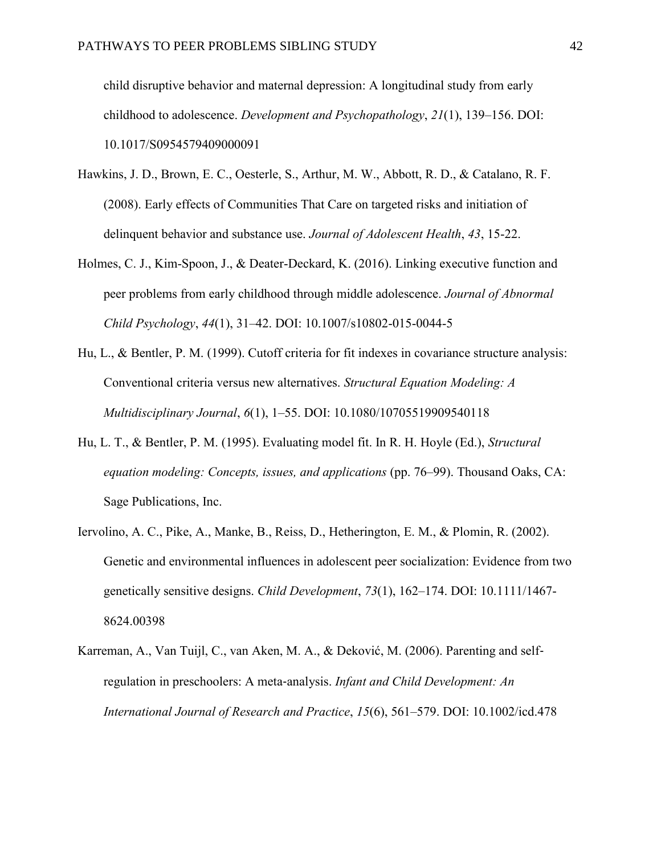child disruptive behavior and maternal depression: A longitudinal study from early childhood to adolescence. *Development and Psychopathology*, *21*(1), 139–156. DOI: 10.1017/S0954579409000091

- Hawkins, J. D., Brown, E. C., Oesterle, S., Arthur, M. W., Abbott, R. D., & Catalano, R. F. (2008). Early effects of Communities That Care on targeted risks and initiation of delinquent behavior and substance use. *Journal of Adolescent Health*, *43*, 15-22.
- Holmes, C. J., Kim-Spoon, J., & Deater-Deckard, K. (2016). Linking executive function and peer problems from early childhood through middle adolescence. *Journal of Abnormal Child Psychology*, *44*(1), 31–42. DOI: 10.1007/s10802-015-0044-5
- Hu, L., & Bentler, P. M. (1999). Cutoff criteria for fit indexes in covariance structure analysis: Conventional criteria versus new alternatives. *Structural Equation Modeling: A Multidisciplinary Journal*, *6*(1), 1–55. DOI: 10.1080/10705519909540118
- Hu, L. T., & Bentler, P. M. (1995). Evaluating model fit. In R. H. Hoyle (Ed.), *Structural equation modeling: Concepts, issues, and applications* (pp. 76–99). Thousand Oaks, CA: Sage Publications, Inc.
- Iervolino, A. C., Pike, A., Manke, B., Reiss, D., Hetherington, E. M., & Plomin, R. (2002). Genetic and environmental influences in adolescent peer socialization: Evidence from two genetically sensitive designs. *Child Development*, *73*(1), 162–174. DOI: 10.1111/1467- 8624.00398
- Karreman, A., Van Tuijl, C., van Aken, M. A., & Deković, M. (2006). Parenting and self‐ regulation in preschoolers: A meta‐analysis. *Infant and Child Development: An International Journal of Research and Practice*, *15*(6), 561–579. DOI: 10.1002/icd.478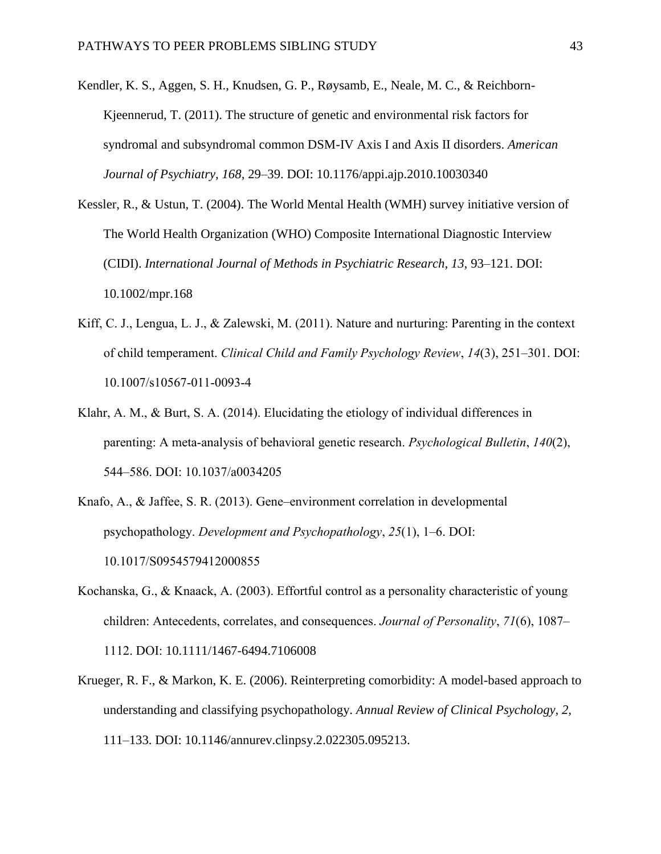- Kendler, K. S., Aggen, S. H., Knudsen, G. P., Røysamb, E., Neale, M. C., & Reichborn-Kjeennerud, T. (2011). The structure of genetic and environmental risk factors for syndromal and subsyndromal common DSM-IV Axis I and Axis II disorders. *American Journal of Psychiatry, 168,* 29–39. DOI: 10.1176/appi.ajp.2010.10030340
- Kessler, R., & Ustun, T. (2004). The World Mental Health (WMH) survey initiative version of The World Health Organization (WHO) Composite International Diagnostic Interview (CIDI). *International Journal of Methods in Psychiatric Research, 13,* 93–121. DOI: 10.1002/mpr.168
- Kiff, C. J., Lengua, L. J., & Zalewski, M. (2011). Nature and nurturing: Parenting in the context of child temperament. *Clinical Child and Family Psychology Review*, *14*(3), 251–301. DOI: 10.1007/s10567-011-0093-4
- Klahr, A. M., & Burt, S. A. (2014). Elucidating the etiology of individual differences in parenting: A meta-analysis of behavioral genetic research. *Psychological Bulletin*, *140*(2), 544–586. DOI: 10.1037/a0034205
- Knafo, A., & Jaffee, S. R. (2013). Gene–environment correlation in developmental psychopathology. *Development and Psychopathology*, *25*(1), 1–6. DOI: 10.1017/S0954579412000855
- Kochanska, G., & Knaack, A. (2003). Effortful control as a personality characteristic of young children: Antecedents, correlates, and consequences. *Journal of Personality*, *71*(6), 1087– 1112. DOI: 10.1111/1467-6494.7106008
- Krueger, R. F., & Markon, K. E. (2006). Reinterpreting comorbidity: A model-based approach to understanding and classifying psychopathology. *Annual Review of Clinical Psychology, 2,* 111–133. DOI: 10.1146/annurev.clinpsy.2.022305.095213.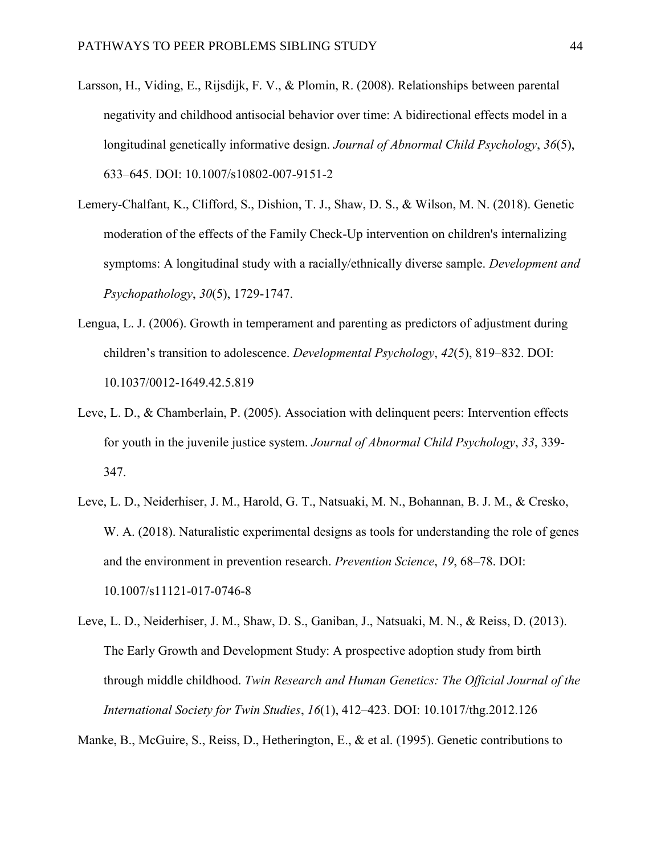- Larsson, H., Viding, E., Rijsdijk, F. V., & Plomin, R. (2008). Relationships between parental negativity and childhood antisocial behavior over time: A bidirectional effects model in a longitudinal genetically informative design. *Journal of Abnormal Child Psychology*, *36*(5), 633–645. DOI: 10.1007/s10802-007-9151-2
- Lemery-Chalfant, K., Clifford, S., Dishion, T. J., Shaw, D. S., & Wilson, M. N. (2018). Genetic moderation of the effects of the Family Check-Up intervention on children's internalizing symptoms: A longitudinal study with a racially/ethnically diverse sample. *Development and Psychopathology*, *30*(5), 1729-1747.
- Lengua, L. J. (2006). Growth in temperament and parenting as predictors of adjustment during children's transition to adolescence. *Developmental Psychology*, *42*(5), 819–832. DOI: 10.1037/0012-1649.42.5.819
- Leve, L. D., & Chamberlain, P. (2005). Association with delinquent peers: Intervention effects for youth in the juvenile justice system. *Journal of Abnormal Child Psychology*, *33*, 339- 347.
- Leve, L. D., Neiderhiser, J. M., Harold, G. T., Natsuaki, M. N., Bohannan, B. J. M., & Cresko, W. A. (2018). Naturalistic experimental designs as tools for understanding the role of genes and the environment in prevention research. *Prevention Science*, *19*, 68–78. DOI: 10.1007/s11121-017-0746-8
- Leve, L. D., Neiderhiser, J. M., Shaw, D. S., Ganiban, J., Natsuaki, M. N., & Reiss, D. (2013). The Early Growth and Development Study: A prospective adoption study from birth through middle childhood. *Twin Research and Human Genetics: The Official Journal of the International Society for Twin Studies*, *16*(1), 412–423. DOI: 10.1017/thg.2012.126

Manke, B., McGuire, S., Reiss, D., Hetherington, E., & et al. (1995). Genetic contributions to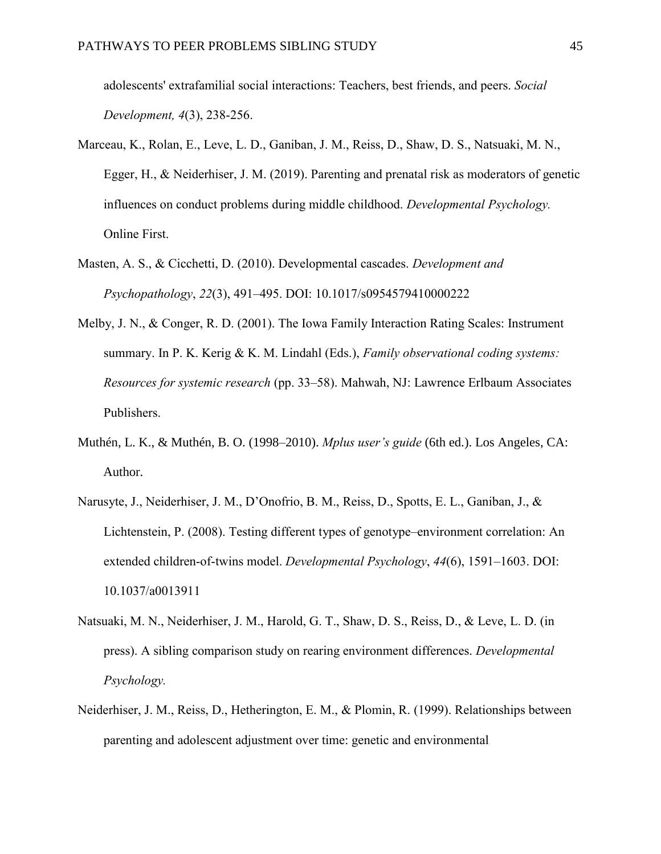adolescents' extrafamilial social interactions: Teachers, best friends, and peers. *Social Development, 4*(3), 238-256.

- Marceau, K., Rolan, E., Leve, L. D., Ganiban, J. M., Reiss, D., Shaw, D. S., Natsuaki, M. N., Egger, H., & Neiderhiser, J. M. (2019). Parenting and prenatal risk as moderators of genetic influences on conduct problems during middle childhood. *Developmental Psychology.*  Online First.
- Masten, A. S., & Cicchetti, D. (2010). Developmental cascades. *Development and Psychopathology*, *22*(3), 491–495. DOI: 10.1017/s0954579410000222
- Melby, J. N., & Conger, R. D. (2001). The Iowa Family Interaction Rating Scales: Instrument summary. In P. K. Kerig & K. M. Lindahl (Eds.), *Family observational coding systems: Resources for systemic research* (pp. 33–58). Mahwah, NJ: Lawrence Erlbaum Associates Publishers.
- Muthén, L. K., & Muthén, B. O. (1998–2010). *Mplus user's guide* (6th ed.). Los Angeles, CA: Author.
- Narusyte, J., Neiderhiser, J. M., D'Onofrio, B. M., Reiss, D., Spotts, E. L., Ganiban, J., & Lichtenstein, P. (2008). Testing different types of genotype–environment correlation: An extended children-of-twins model. *Developmental Psychology*, *44*(6), 1591–1603. DOI: 10.1037/a0013911
- Natsuaki, M. N., Neiderhiser, J. M., Harold, G. T., Shaw, D. S., Reiss, D., & Leve, L. D. (in press). A sibling comparison study on rearing environment differences. *Developmental Psychology.*
- Neiderhiser, J. M., Reiss, D., Hetherington, E. M., & Plomin, R. (1999). Relationships between parenting and adolescent adjustment over time: genetic and environmental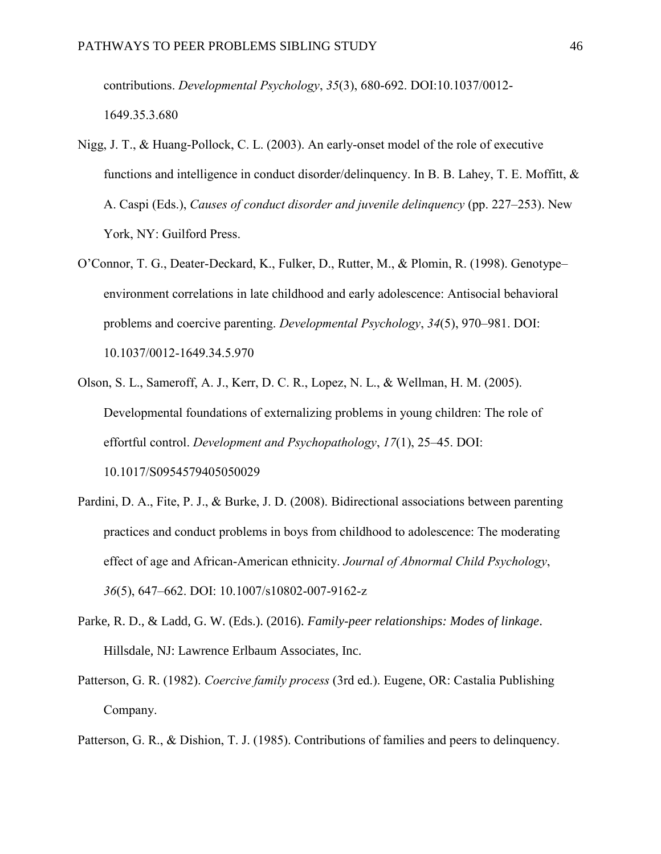contributions. *Developmental Psychology*, *35*(3), 680-692. DOI:10.1037/0012- 1649.35.3.680

- Nigg, J. T., & Huang-Pollock, C. L. (2003). An early-onset model of the role of executive functions and intelligence in conduct disorder/delinquency. In B. B. Lahey, T. E. Moffitt, & A. Caspi (Eds.), *Causes of conduct disorder and juvenile delinquency* (pp. 227–253). New York, NY: Guilford Press.
- O'Connor, T. G., Deater-Deckard, K., Fulker, D., Rutter, M., & Plomin, R. (1998). Genotype– environment correlations in late childhood and early adolescence: Antisocial behavioral problems and coercive parenting. *Developmental Psychology*, *34*(5), 970–981. DOI: 10.1037/0012-1649.34.5.970
- Olson, S. L., Sameroff, A. J., Kerr, D. C. R., Lopez, N. L., & Wellman, H. M. (2005). Developmental foundations of externalizing problems in young children: The role of effortful control. *Development and Psychopathology*, *17*(1), 25–45. DOI: 10.1017/S0954579405050029
- Pardini, D. A., Fite, P. J., & Burke, J. D. (2008). Bidirectional associations between parenting practices and conduct problems in boys from childhood to adolescence: The moderating effect of age and African-American ethnicity. *Journal of Abnormal Child Psychology*, *36*(5), 647–662. DOI: 10.1007/s10802-007-9162-z
- Parke, R. D., & Ladd, G. W. (Eds.). (2016). *Family-peer relationships: Modes of linkage*. Hillsdale, NJ: Lawrence Erlbaum Associates, Inc.
- Patterson, G. R. (1982). *Coercive family process* (3rd ed.). Eugene, OR: Castalia Publishing Company.

Patterson, G. R., & Dishion, T. J. (1985). Contributions of families and peers to delinquency.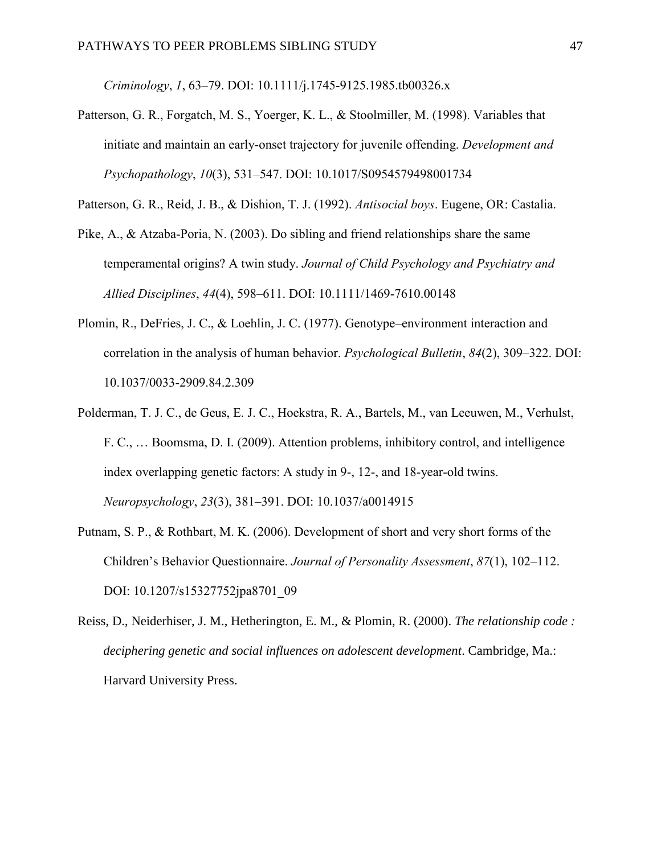*Criminology*, *1*, 63–79. DOI: 10.1111/j.1745-9125.1985.tb00326.x

Patterson, G. R., Forgatch, M. S., Yoerger, K. L., & Stoolmiller, M. (1998). Variables that initiate and maintain an early-onset trajectory for juvenile offending. *Development and Psychopathology*, *10*(3), 531–547. DOI: 10.1017/S0954579498001734

Patterson, G. R., Reid, J. B., & Dishion, T. J. (1992). *Antisocial boys*. Eugene, OR: Castalia.

- Pike, A., & Atzaba-Poria, N. (2003). Do sibling and friend relationships share the same temperamental origins? A twin study. *Journal of Child Psychology and Psychiatry and Allied Disciplines*, *44*(4), 598–611. DOI: 10.1111/1469-7610.00148
- Plomin, R., DeFries, J. C., & Loehlin, J. C. (1977). Genotype–environment interaction and correlation in the analysis of human behavior. *Psychological Bulletin*, *84*(2), 309–322. DOI: 10.1037/0033-2909.84.2.309
- Polderman, T. J. C., de Geus, E. J. C., Hoekstra, R. A., Bartels, M., van Leeuwen, M., Verhulst, F. C., … Boomsma, D. I. (2009). Attention problems, inhibitory control, and intelligence index overlapping genetic factors: A study in 9-, 12-, and 18-year-old twins. *Neuropsychology*, *23*(3), 381–391. DOI: 10.1037/a0014915
- Putnam, S. P., & Rothbart, M. K. (2006). Development of short and very short forms of the Children's Behavior Questionnaire. *Journal of Personality Assessment*, *87*(1), 102–112. DOI: 10.1207/s15327752jpa8701\_09
- Reiss, D., Neiderhiser, J. M., Hetherington, E. M., & Plomin, R. (2000). *The relationship code : deciphering genetic and social influences on adolescent development*. Cambridge, Ma.: Harvard University Press.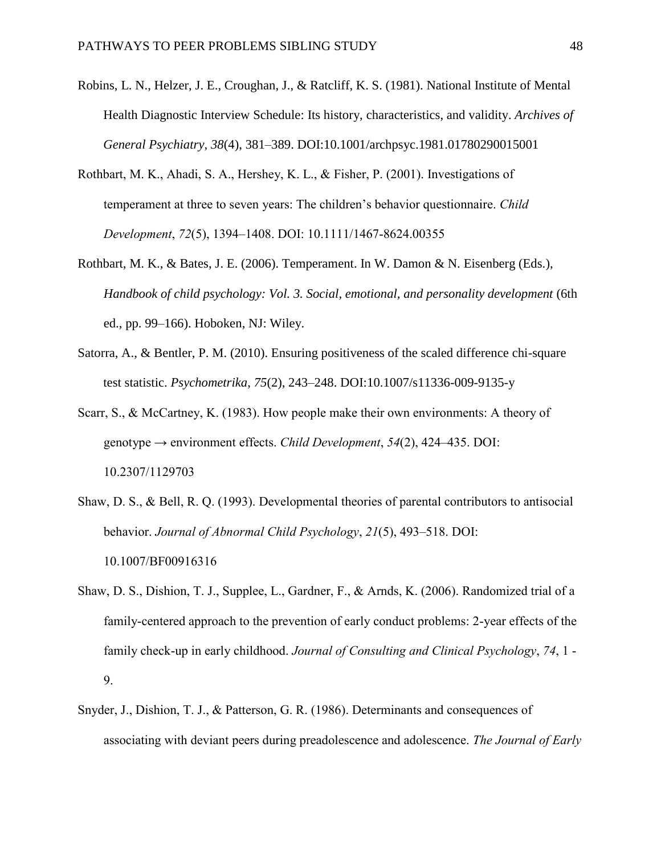- Robins, L. N., Helzer, J. E., Croughan, J., & Ratcliff, K. S. (1981). National Institute of Mental Health Diagnostic Interview Schedule: Its history, characteristics, and validity. *Archives of General Psychiatry*, *38*(4), 381–389. DOI:10.1001/archpsyc.1981.01780290015001
- Rothbart, M. K., Ahadi, S. A., Hershey, K. L., & Fisher, P. (2001). Investigations of temperament at three to seven years: The children's behavior questionnaire. *Child Development*, *72*(5), 1394–1408. DOI: 10.1111/1467-8624.00355
- Rothbart, M. K., & Bates, J. E. (2006). Temperament. In W. Damon & N. Eisenberg (Eds.), *Handbook of child psychology: Vol. 3. Social, emotional, and personality development* (6th ed., pp. 99–166). Hoboken, NJ: Wiley.
- Satorra, A., & Bentler, P. M. (2010). Ensuring positiveness of the scaled difference chi-square test statistic. *Psychometrika*, *75*(2), 243–248. DOI:10.1007/s11336-009-9135-y
- Scarr, S., & McCartney, K. (1983). How people make their own environments: A theory of genotype → environment effects. *Child Development*, *54*(2), 424–435. DOI: 10.2307/1129703
- Shaw, D. S., & Bell, R. Q. (1993). Developmental theories of parental contributors to antisocial behavior. *Journal of Abnormal Child Psychology*, *21*(5), 493–518. DOI: 10.1007/BF00916316
- Shaw, D. S., Dishion, T. J., Supplee, L., Gardner, F., & Arnds, K. (2006). Randomized trial of a family-centered approach to the prevention of early conduct problems: 2-year effects of the family check-up in early childhood. *Journal of Consulting and Clinical Psychology*, *74*, 1 - 9.
- Snyder, J., Dishion, T. J., & Patterson, G. R. (1986). Determinants and consequences of associating with deviant peers during preadolescence and adolescence. *The Journal of Early*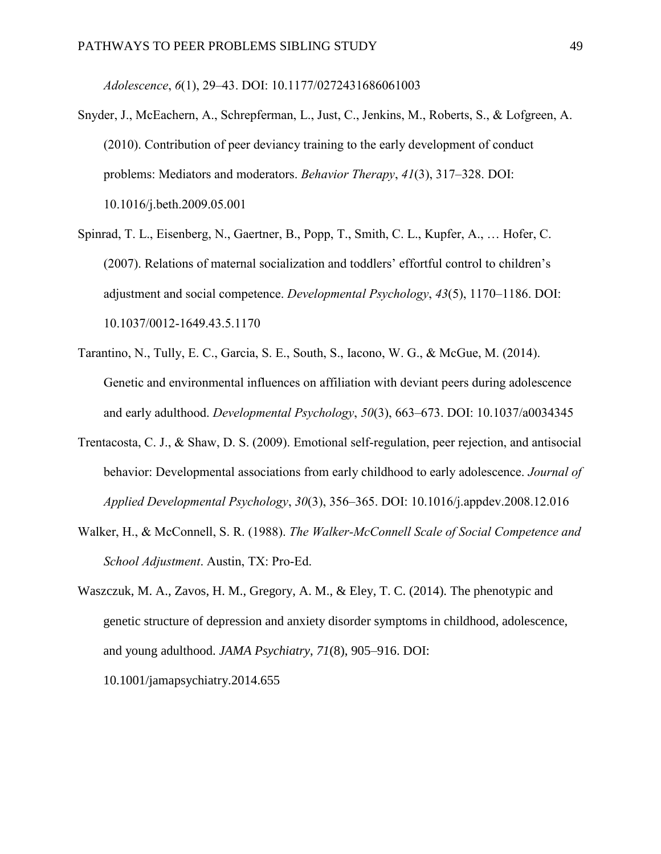*Adolescence*, *6*(1), 29–43. DOI: 10.1177/0272431686061003

- Snyder, J., McEachern, A., Schrepferman, L., Just, C., Jenkins, M., Roberts, S., & Lofgreen, A. (2010). Contribution of peer deviancy training to the early development of conduct problems: Mediators and moderators. *Behavior Therapy*, *41*(3), 317–328. DOI: 10.1016/j.beth.2009.05.001
- Spinrad, T. L., Eisenberg, N., Gaertner, B., Popp, T., Smith, C. L., Kupfer, A., … Hofer, C. (2007). Relations of maternal socialization and toddlers' effortful control to children's adjustment and social competence. *Developmental Psychology*, *43*(5), 1170–1186. DOI: 10.1037/0012-1649.43.5.1170
- Tarantino, N., Tully, E. C., Garcia, S. E., South, S., Iacono, W. G., & McGue, M. (2014). Genetic and environmental influences on affiliation with deviant peers during adolescence and early adulthood. *Developmental Psychology*, *50*(3), 663–673. DOI: 10.1037/a0034345
- Trentacosta, C. J., & Shaw, D. S. (2009). Emotional self-regulation, peer rejection, and antisocial behavior: Developmental associations from early childhood to early adolescence. *Journal of Applied Developmental Psychology*, *30*(3), 356–365. DOI: 10.1016/j.appdev.2008.12.016
- Walker, H., & McConnell, S. R. (1988). *The Walker-McConnell Scale of Social Competence and School Adjustment*. Austin, TX: Pro-Ed.
- Waszczuk, M. A., Zavos, H. M., Gregory, A. M., & Eley, T. C. (2014). The phenotypic and genetic structure of depression and anxiety disorder symptoms in childhood, adolescence, and young adulthood. *JAMA Psychiatry*, *71*(8), 905–916. DOI: 10.1001/jamapsychiatry.2014.655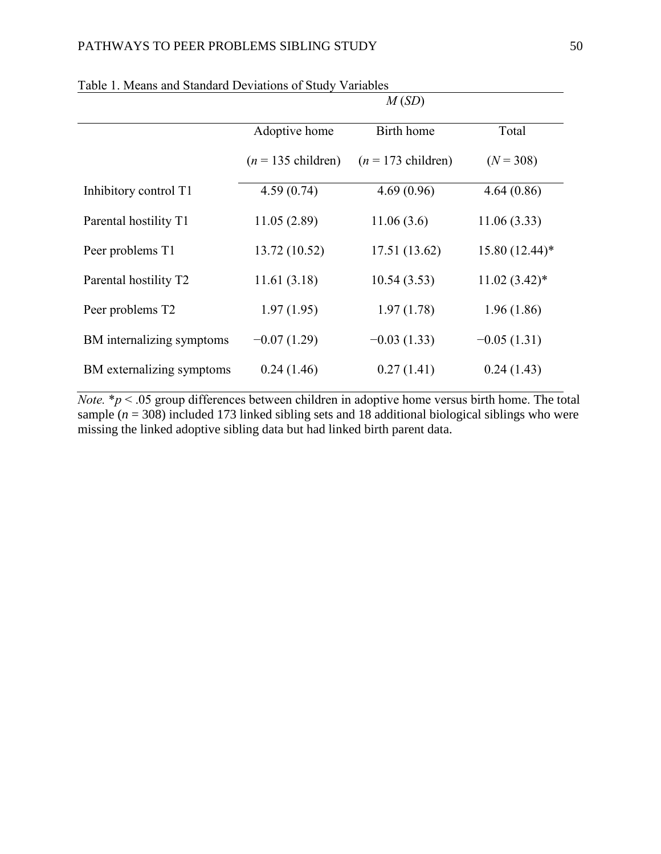|                           |                              | M(SD)                        |                  |
|---------------------------|------------------------------|------------------------------|------------------|
|                           | Adoptive home                | Birth home                   | Total            |
|                           | $(n = 135 \text{ children})$ | $(n = 173 \text{ children})$ | $(N = 308)$      |
| Inhibitory control T1     | 4.59(0.74)                   | 4.69(0.96)                   | 4.64(0.86)       |
| Parental hostility T1     | 11.05(2.89)                  | 11.06(3.6)                   | 11.06(3.33)      |
| Peer problems T1          | 13.72 (10.52)                | 17.51 (13.62)                | $15.80(12.44)$ * |
| Parental hostility T2     | 11.61(3.18)                  | 10.54(3.53)                  | $11.02(3.42)$ *  |
| Peer problems T2          | 1.97(1.95)                   | 1.97(1.78)                   | 1.96(1.86)       |
| BM internalizing symptoms | $-0.07(1.29)$                | $-0.03(1.33)$                | $-0.05(1.31)$    |
| BM externalizing symptoms | 0.24(1.46)                   | 0.27(1.41)                   | 0.24(1.43)       |

| Table 1. Means and Standard Deviations of Study Variables |  |  |  |  |  |  |
|-----------------------------------------------------------|--|--|--|--|--|--|
|-----------------------------------------------------------|--|--|--|--|--|--|

*Note.*  $* p < .05$  group differences between children in adoptive home versus birth home. The total sample ( $n = 308$ ) included 173 linked sibling sets and 18 additional biological siblings who were missing the linked adoptive sibling data but had linked birth parent data.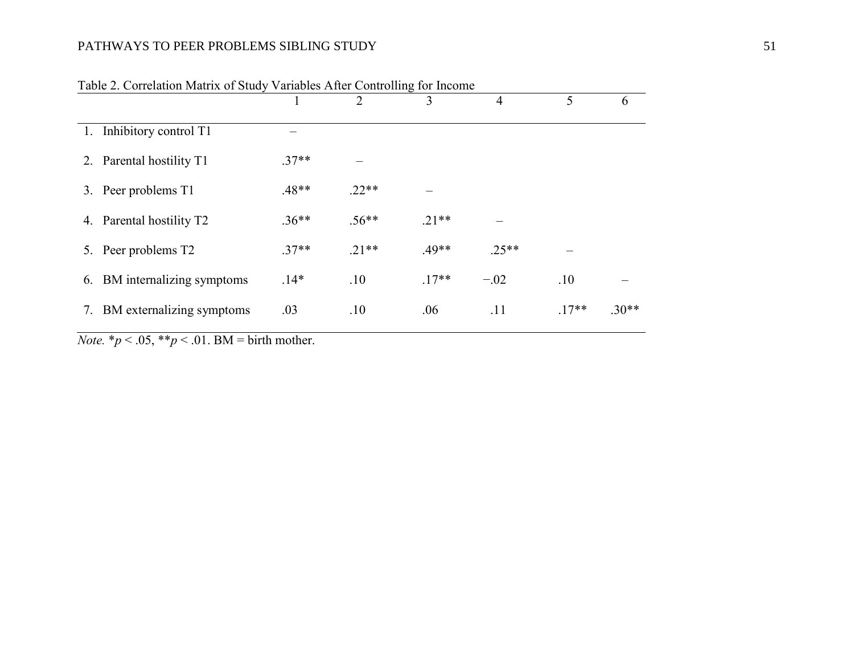# PATHWAYS TO PEER PROBLEMS SIBLING STUDY 51

|    |                              |         | $\mathcal{D}_{\mathcal{L}}$ | 3       | $\overline{4}$ | 5       | 6       |
|----|------------------------------|---------|-----------------------------|---------|----------------|---------|---------|
|    | 1. Inhibitory control T1     |         |                             |         |                |         |         |
|    | 2. Parental hostility T1     | $.37**$ |                             |         |                |         |         |
|    | 3. Peer problems T1          | $.48**$ | $.22**$                     |         |                |         |         |
|    | 4. Parental hostility T2     | $.36**$ | $.56**$                     | $.21**$ |                |         |         |
|    | 5. Peer problems T2          | $37**$  | $21**$                      | $.49**$ | $.25**$        |         |         |
|    | 6. BM internalizing symptoms | $.14*$  | .10                         | $.17**$ | $-.02$         | .10     |         |
| 7. | BM externalizing symptoms    | .03     | .10                         | .06     | .11            | $.17**$ | $.30**$ |

|  |  |  |  | Table 2. Correlation Matrix of Study Variables After Controlling for Income |
|--|--|--|--|-----------------------------------------------------------------------------|
|--|--|--|--|-----------------------------------------------------------------------------|

*Note.*  $* p < .05$ ,  $* p < .01$ . BM = birth mother.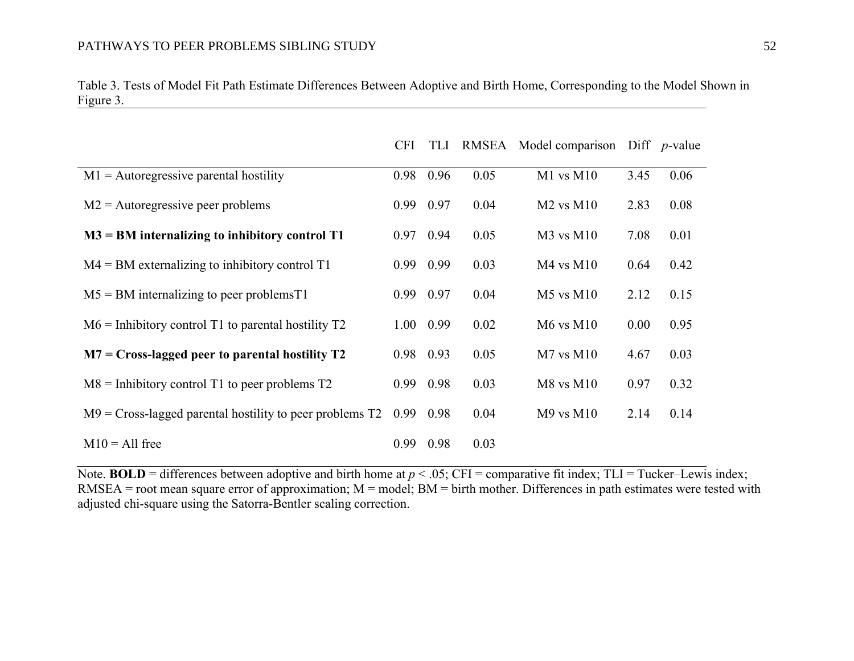|                                                             | <b>CFI</b> | <b>TLI</b> | RMSEA | Model comparison |      | Diff $p$ -value |
|-------------------------------------------------------------|------------|------------|-------|------------------|------|-----------------|
| $M1$ = Autoregressive parental hostility                    | 0.98       | 0.96       | 0.05  | $M1$ vs $M10$    | 3.45 | 0.06            |
| $M2$ = Autoregressive peer problems                         | 0.99 0.97  |            | 0.04  | $M2$ vs $M10$    | 2.83 | 0.08            |
| $M3 = BM$ internalizing to inhibitory control T1            | 0.97       | 0.94       | 0.05  | $M3$ vs $M10$    | 7.08 | 0.01            |
| $M4 = BM$ externalizing to inhibitory control T1            | 0.99 0.99  |            | 0.03  | $M4$ vs $M10$    | 0.64 | 0.42            |
| $M5 = BM$ internalizing to peer problems T1                 | 0.99       | 0.97       | 0.04  | $M5$ vs $M10$    | 2.12 | 0.15            |
| $M6$ = Inhibitory control T1 to parental hostility T2       | 1.00       | 0.99       | 0.02  | $M6$ vs $M10$    | 0.00 | 0.95            |
| $M7 = Cross$ -lagged peer to parental hostility T2          | 0.98 0.93  |            | 0.05  | $M7$ vs $M10$    | 4.67 | 0.03            |
| $M8$ = Inhibitory control T1 to peer problems T2            | 0.99       | 0.98       | 0.03  | $M8$ vs $M10$    | 0.97 | 0.32            |
| $M9 = Cross$ -lagged parental hostility to peer problems T2 | 0.99       | 0.98       | 0.04  | $M9$ vs $M10$    | 2.14 | 0.14            |
| $M10 = All free$                                            | 0.99       | 0.98       | 0.03  |                  |      |                 |

Table 3. Tests of Model Fit Path Estimate Differences Between Adoptive and Birth Home, Corresponding to the Model Shown in Figure 3. <u> 1989 - Johann Stoff, amerikansk politiker (d. 1989)</u>

Note. **BOLD** = differences between adoptive and birth home at  $p < .05$ ; CFI = comparative fit index; TLI = Tucker–Lewis index;  $RMSEA$  = root mean square error of approximation;  $M$  = model;  $BM$  = birth mother. Differences in path estimates were tested with adjusted chi-square using the Satorra-Bentler scaling correction.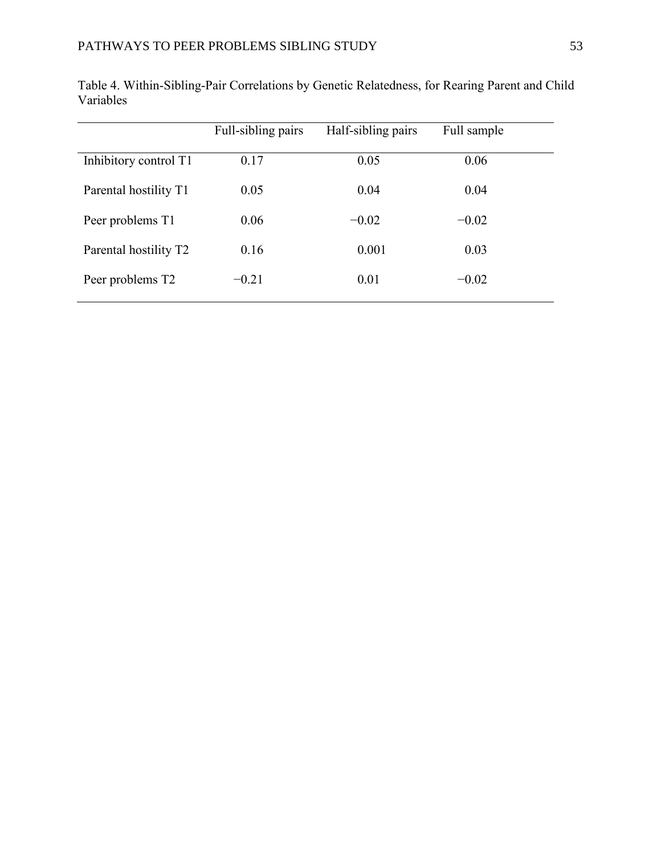|                              | Full-sibling pairs | Half-sibling pairs | Full sample |
|------------------------------|--------------------|--------------------|-------------|
| Inhibitory control T1        | 0.17               | 0.05               | 0.06        |
| Parental hostility T1        | 0.05               | 0.04               | 0.04        |
| Peer problems T1             | 0.06               | $-0.02$            | $-0.02$     |
| Parental hostility T2        | 0.16               | 0.001              | 0.03        |
| Peer problems T <sub>2</sub> | $-0.21$            | 0.01               | $-0.02$     |

Table 4. Within-Sibling-Pair Correlations by Genetic Relatedness, for Rearing Parent and Child Variables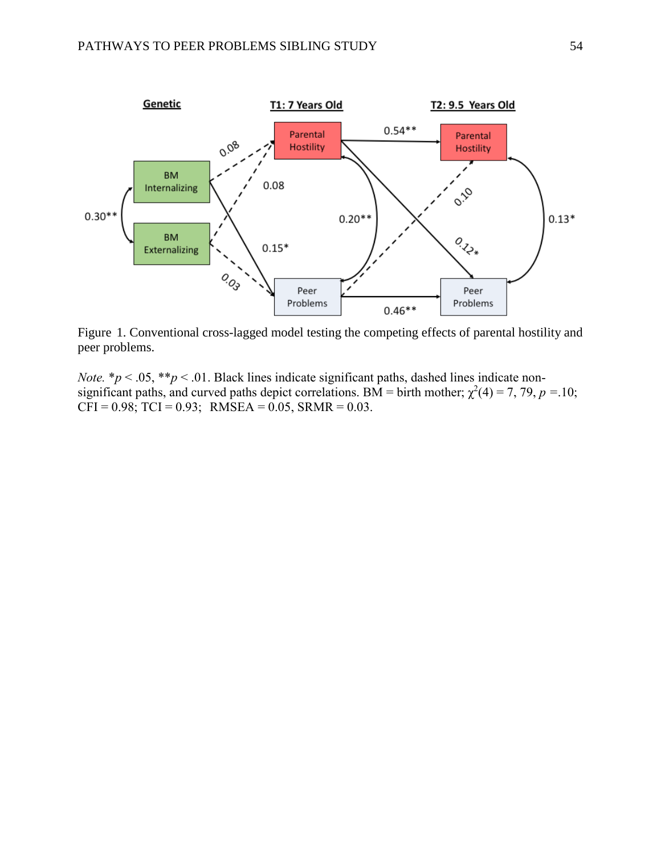

Figure 1. Conventional cross-lagged model testing the competing effects of parental hostility and peer problems.

*Note.* \* $p < .05$ , \*\* $p < .01$ . Black lines indicate significant paths, dashed lines indicate nonsignificant paths, and curved paths depict correlations. BM = birth mother;  $\chi^2(4) = 7$ , 79,  $p = 10$ ;  $CFI = 0.98$ ;  $TCI = 0.93$ ;  $RMSEA = 0.05$ ,  $SRMR = 0.03$ .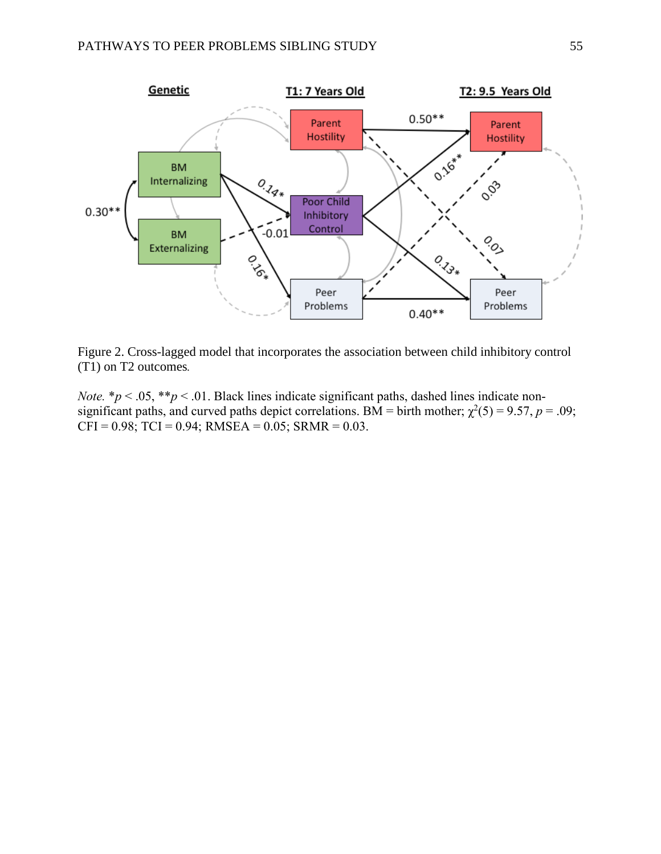

Figure 2. Cross-lagged model that incorporates the association between child inhibitory control (T1) on T2 outcomes*.* 

*Note.*  $* p < .05$ ,  $* p < .01$ . Black lines indicate significant paths, dashed lines indicate nonsignificant paths, and curved paths depict correlations. BM = birth mother;  $\chi^2(5) = 9.57$ ,  $p = .09$ ;  $CFI = 0.98$ ;  $TCI = 0.94$ ; RMSEA = 0.05; SRMR = 0.03.